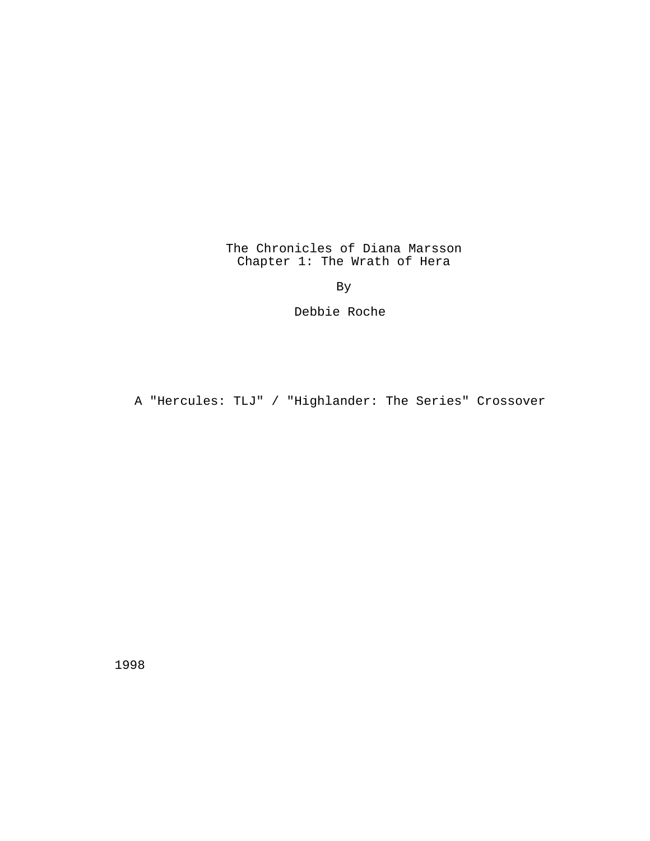The Chronicles of Diana Marsson Chapter 1: The Wrath of Hera

By

Debbie Roche

A "Hercules: TLJ" / "Highlander: The Series" Crossover

1998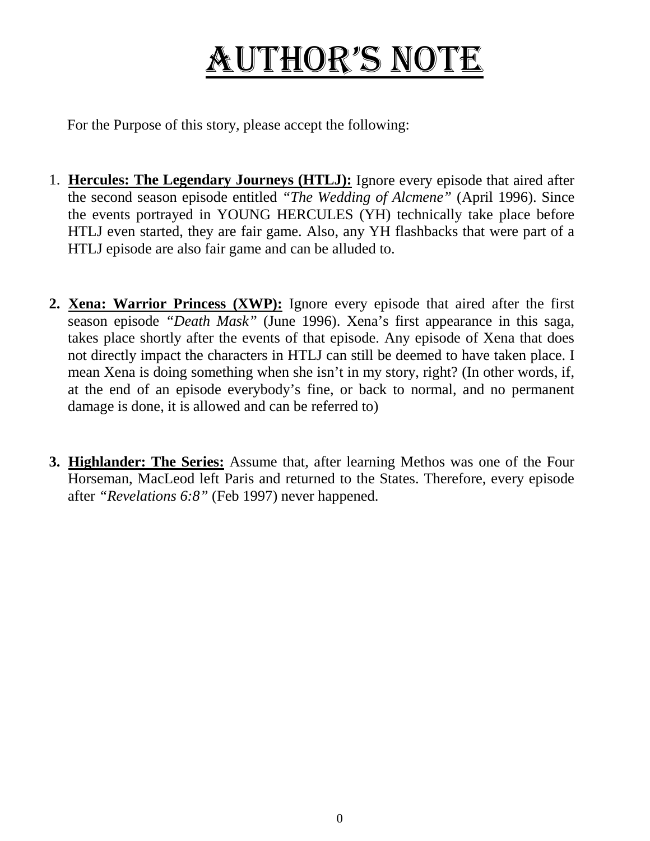# AUTHOR's NOTE

For the Purpose of this story, please accept the following:

- 1. **Hercules: The Legendary Journeys (HTLJ):** Ignore every episode that aired after the second season episode entitled *"The Wedding of Alcmene"* (April 1996). Since the events portrayed in YOUNG HERCULES (YH) technically take place before HTLJ even started, they are fair game. Also, any YH flashbacks that were part of a HTLJ episode are also fair game and can be alluded to.
- **2. Xena: Warrior Princess (XWP):** Ignore every episode that aired after the first season episode *"Death Mask"* (June 1996). Xena's first appearance in this saga, takes place shortly after the events of that episode. Any episode of Xena that does not directly impact the characters in HTLJ can still be deemed to have taken place. I mean Xena is doing something when she isn't in my story, right? (In other words, if, at the end of an episode everybody's fine, or back to normal, and no permanent damage is done, it is allowed and can be referred to)
- **3. Highlander: The Series:** Assume that, after learning Methos was one of the Four Horseman, MacLeod left Paris and returned to the States. Therefore, every episode after *"Revelations 6:8"* (Feb 1997) never happened.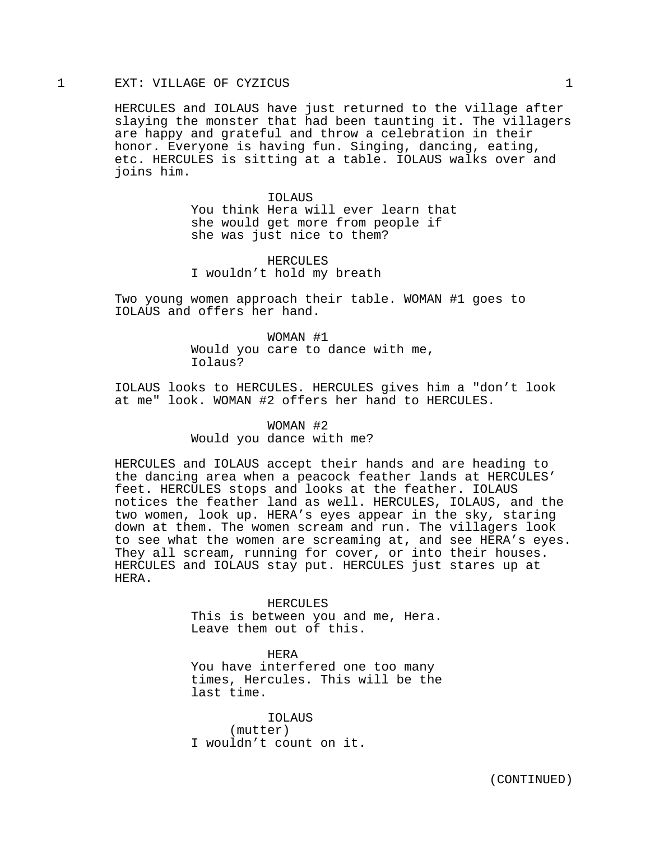# 1 EXT: VILLAGE OF CYZICUS 1

HERCULES and IOLAUS have just returned to the village after slaying the monster that had been taunting it. The villagers are happy and grateful and throw a celebration in their honor. Everyone is having fun. Singing, dancing, eating, etc. HERCULES is sitting at a table. IOLAUS walks over and joins him.

> IOLAUS You think Hera will ever learn that she would get more from people if she was just nice to them?

HERCULES I wouldn't hold my breath

Two young women approach their table. WOMAN #1 goes to IOLAUS and offers her hand.

> WOMAN #1 Would you care to dance with me, Iolaus?

IOLAUS looks to HERCULES. HERCULES gives him a "don't look at me" look. WOMAN #2 offers her hand to HERCULES.

# WOMAN #2

# Would you dance with me?

HERCULES and IOLAUS accept their hands and are heading to the dancing area when a peacock feather lands at HERCULES' feet. HERCULES stops and looks at the feather. IOLAUS notices the feather land as well. HERCULES, IOLAUS, and the two women, look up. HERA's eyes appear in the sky, staring down at them. The women scream and run. The villagers look to see what the women are screaming at, and see HERA's eyes. They all scream, running for cover, or into their houses. HERCULES and IOLAUS stay put. HERCULES just stares up at HERA.

> HERCULES This is between you and me, Hera. Leave them out of this.

> HERA You have interfered one too many times, Hercules. This will be the last time.

IOLAUS (mutter) I wouldn't count on it.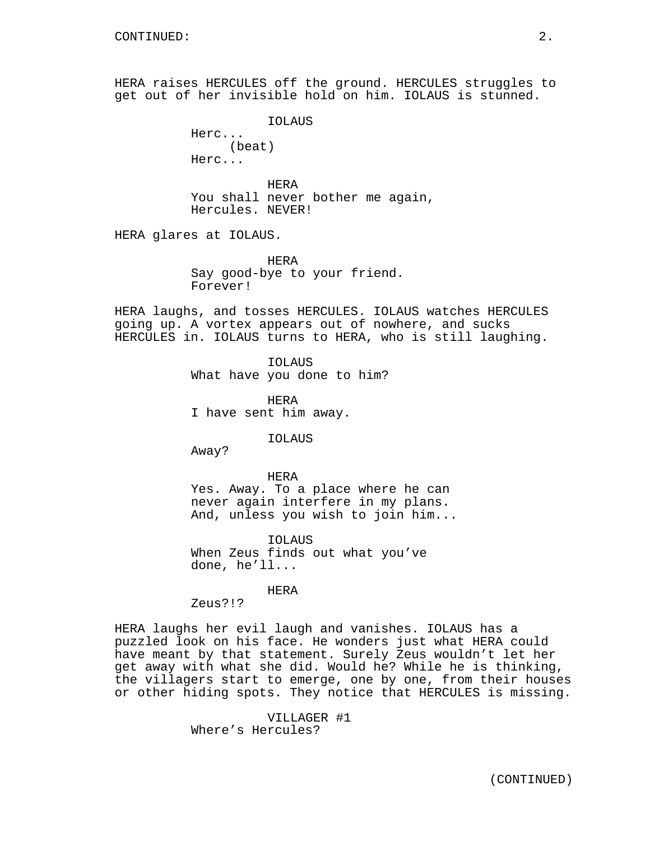HERA raises HERCULES off the ground. HERCULES struggles to get out of her invisible hold on him. IOLAUS is stunned.

> IOLAUS Herc... (beat)

Herc...

HERA You shall never bother me again, Hercules. NEVER!

HERA glares at IOLAUS.

HERA Say good-bye to your friend. Forever!

HERA laughs, and tosses HERCULES. IOLAUS watches HERCULES going up. A vortex appears out of nowhere, and sucks HERCULES in. IOLAUS turns to HERA, who is still laughing.

> IOLAUS What have you done to him?

HERA I have sent him away.

IOLAUS

Away?

HERA Yes. Away. To a place where he can never again interfere in my plans. And, unless you wish to join him...

IOLAUS When Zeus finds out what you've done, he'll...

HERA

Zeus?!?

HERA laughs her evil laugh and vanishes. IOLAUS has a puzzled look on his face. He wonders just what HERA could have meant by that statement. Surely Zeus wouldn't let her get away with what she did. Would he? While he is thinking, the villagers start to emerge, one by one, from their houses or other hiding spots. They notice that HERCULES is missing.

> VILLAGER #1 Where's Hercules?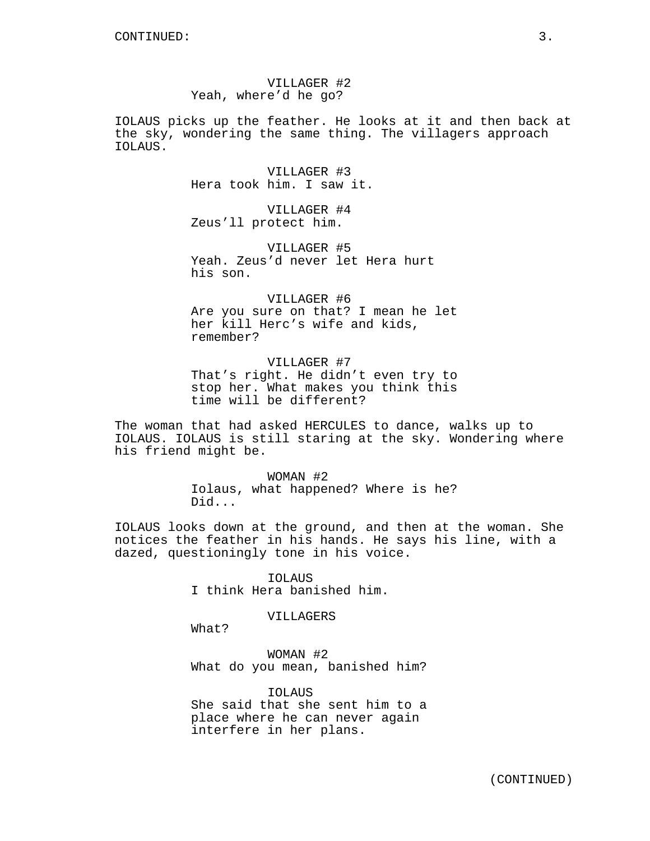VILLAGER #2 Yeah, where'd he go?

IOLAUS picks up the feather. He looks at it and then back at the sky, wondering the same thing. The villagers approach IOLAUS.

> VILLAGER #3 Hera took him. I saw it.

VILLAGER #4 Zeus'll protect him.

VILLAGER #5 Yeah. Zeus'd never let Hera hurt his son.

VILLAGER #6 Are you sure on that? I mean he let her kill Herc's wife and kids, remember?

VILLAGER #7 That's right. He didn't even try to stop her. What makes you think this time will be different?

The woman that had asked HERCULES to dance, walks up to IOLAUS. IOLAUS is still staring at the sky. Wondering where his friend might be.

> WOMAN #2 Iolaus, what happened? Where is he? Did...

IOLAUS looks down at the ground, and then at the woman. She notices the feather in his hands. He says his line, with a dazed, questioningly tone in his voice.

> IOLAUS I think Hera banished him.

#### VILLAGERS

What?

WOMAN #2 What do you mean, banished him?

IOLAUS She said that she sent him to a place where he can never again interfere in her plans.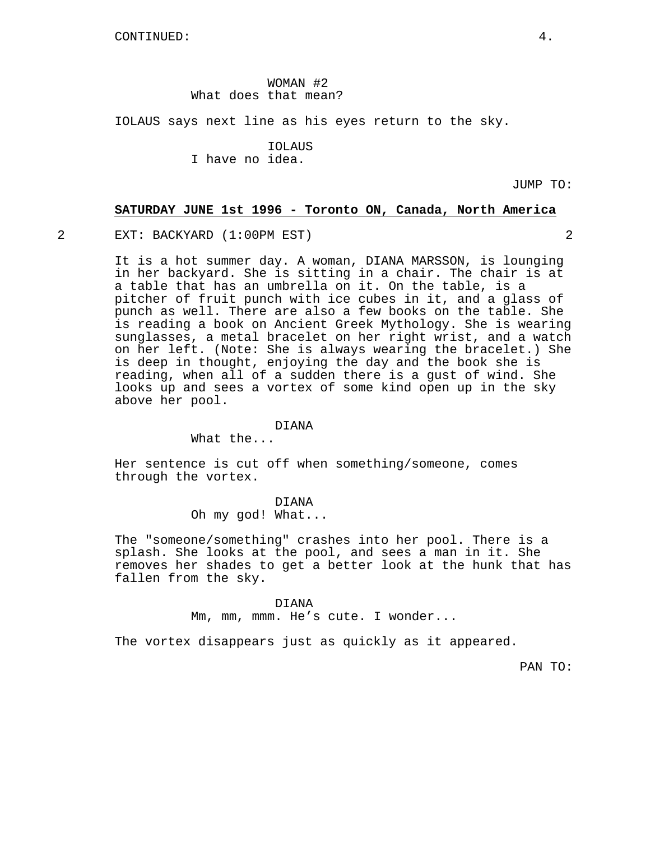WOMAN #2 What does that mean?

IOLAUS says next line as his eyes return to the sky.

IOLAUS I have no idea.

JUMP TO:

### **SATURDAY JUNE 1st 1996 - Toronto ON, Canada, North America**

2 EXT: BACKYARD (1:00PM EST) 2

It is a hot summer day. A woman, DIANA MARSSON, is lounging in her backyard. She is sitting in a chair. The chair is at a table that has an umbrella on it. On the table, is a pitcher of fruit punch with ice cubes in it, and a glass of punch as well. There are also a few books on the table. She is reading a book on Ancient Greek Mythology. She is wearing sunglasses, a metal bracelet on her right wrist, and a watch on her left. (Note: She is always wearing the bracelet.) She is deep in thought, enjoying the day and the book she is reading, when all of a sudden there is a gust of wind. She looks up and sees a vortex of some kind open up in the sky above her pool.

## DIANA

What the...

Her sentence is cut off when something/someone, comes through the vortex.

DIANA

Oh my god! What...

The "someone/something" crashes into her pool. There is a splash. She looks at the pool, and sees a man in it. She removes her shades to get a better look at the hunk that has fallen from the sky.

## DIANA

Mm, mm, mmm. He's cute. I wonder...

The vortex disappears just as quickly as it appeared.

PAN TO: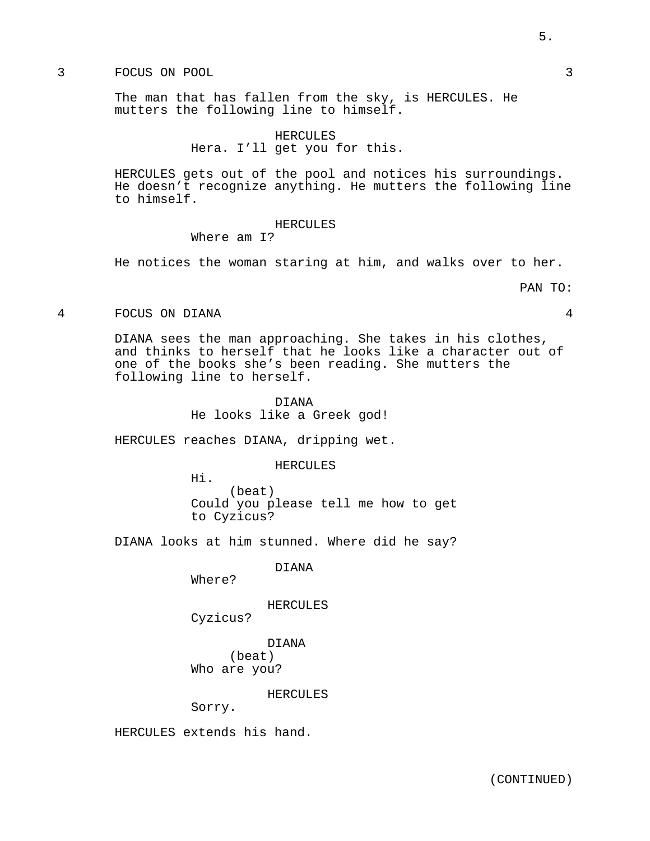# 3 FOCUS ON POOL 3

The man that has fallen from the sky, is HERCULES. He mutters the following line to himself.

> HERCULES Hera. I'll get you for this.

HERCULES gets out of the pool and notices his surroundings. He doesn't recognize anything. He mutters the following line to himself.

## HERCULES

Where am I?

He notices the woman staring at him, and walks over to her.

#### PAN TO:

4 FOCUS ON DIANA 4

DIANA sees the man approaching. She takes in his clothes, and thinks to herself that he looks like a character out of one of the books she's been reading. She mutters the following line to herself.

> DIANA He looks like a Greek god!

HERCULES reaches DIANA, dripping wet.

HERCULES

Hi. (beat) Could you please tell me how to get to Cyzicus?

DIANA looks at him stunned. Where did he say?

DIANA

Where?

HERCULES

Cyzicus?

DIANA

(beat) Who are you?

#### HERCULES

Sorry.

HERCULES extends his hand.

5.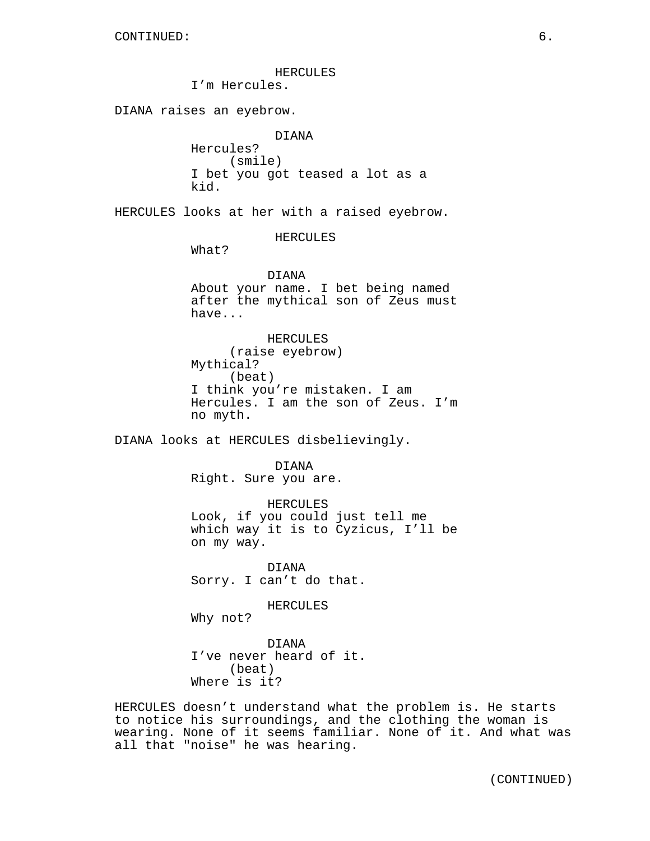HERCULES

I'm Hercules.

DIANA raises an eyebrow.

DIANA Hercules? (smile) I bet you got teased a lot as a kid.

HERCULES looks at her with a raised eyebrow.

HERCULES

What?

DIANA About your name. I bet being named after the mythical son of Zeus must have...

HERCULES (raise eyebrow) Mythical? (beat) I think you're mistaken. I am Hercules. I am the son of Zeus. I'm no myth.

DIANA looks at HERCULES disbelievingly.

DIANA Right. Sure you are.

HERCULES Look, if you could just tell me which way it is to Cyzicus, I'll be on my way.

DIANA Sorry. I can't do that.

HERCULES

Why not?

DIANA I've never heard of it. (beat) Where is it?

HERCULES doesn't understand what the problem is. He starts to notice his surroundings, and the clothing the woman is wearing. None of it seems familiar. None of it. And what was all that "noise" he was hearing.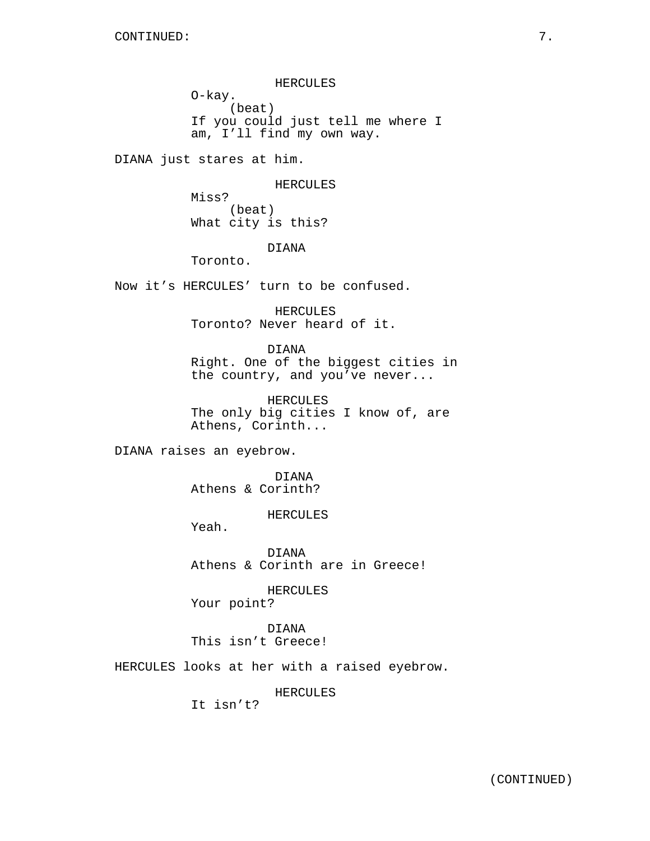HERCULES O-kay. (beat) If you could just tell me where I am, I'll find my own way.

DIANA just stares at him.

HERCULES

Miss? (beat) What city is this?

## DIANA

Toronto.

Now it's HERCULES' turn to be confused.

HERCULES Toronto? Never heard of it.

DIANA Right. One of the biggest cities in the country, and you've never...

HERCULES The only big cities I know of, are Athens, Corinth...

DIANA raises an eyebrow.

DIANA Athens & Corinth?

HERCULES

Yeah.

DIANA Athens & Corinth are in Greece!

HERCULES

Your point?

DIANA This isn't Greece!

HERCULES looks at her with a raised eyebrow.

HERCULES

It isn't?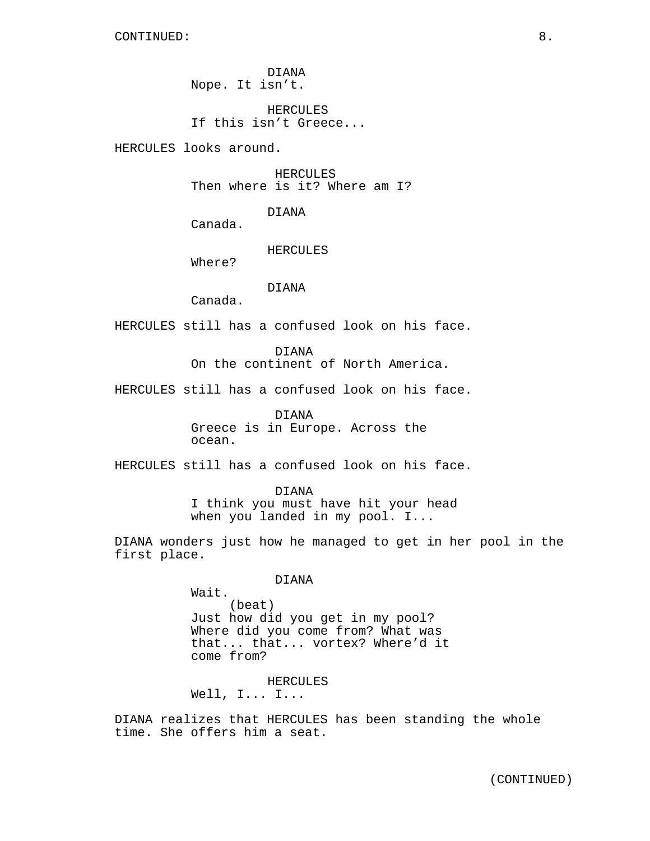DIANA Nope. It isn't.

HERCULES If this isn't Greece...

HERCULES looks around.

HERCULES Then where is it? Where am I?

DIANA

Canada.

HERCULES

Where?

# DIANA

Canada.

HERCULES still has a confused look on his face.

DIANA On the continent of North America.

HERCULES still has a confused look on his face.

DIANA Greece is in Europe. Across the ocean.

HERCULES still has a confused look on his face.

DIANA I think you must have hit your head when you landed in my pool. I...

DIANA wonders just how he managed to get in her pool in the first place.

DIANA

Wait. (beat) Just how did you get in my pool? Where did you come from? What was that... that... vortex? Where'd it come from?

HERCULES Well, I... I...

DIANA realizes that HERCULES has been standing the whole time. She offers him a seat.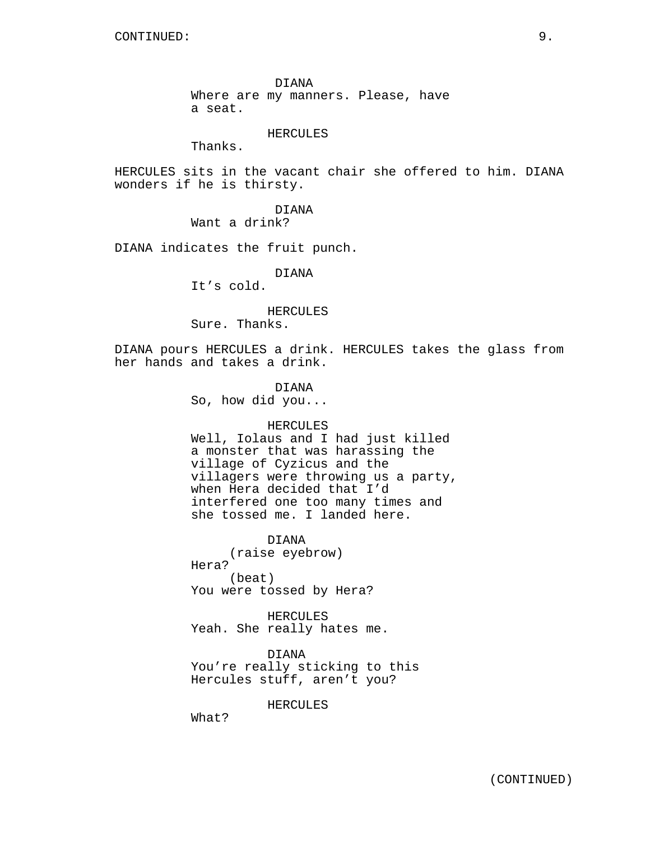DIANA Where are my manners. Please, have a seat.

#### HERCULES

Thanks.

HERCULES sits in the vacant chair she offered to him. DIANA wonders if he is thirsty.

> DIANA Want a drink?

DIANA indicates the fruit punch.

DIANA

It's cold.

HERCULES

Sure. Thanks.

DIANA pours HERCULES a drink. HERCULES takes the glass from her hands and takes a drink.

> DIANA So, how did you...

## HERCULES

Well, Iolaus and I had just killed a monster that was harassing the village of Cyzicus and the villagers were throwing us a party, when Hera decided that I'd interfered one too many times and she tossed me. I landed here.

DIANA

(raise eyebrow) Hera? (beat) You were tossed by Hera?

HERCULES Yeah. She really hates me.

DIANA You're really sticking to this Hercules stuff, aren't you?

HERCULES

What?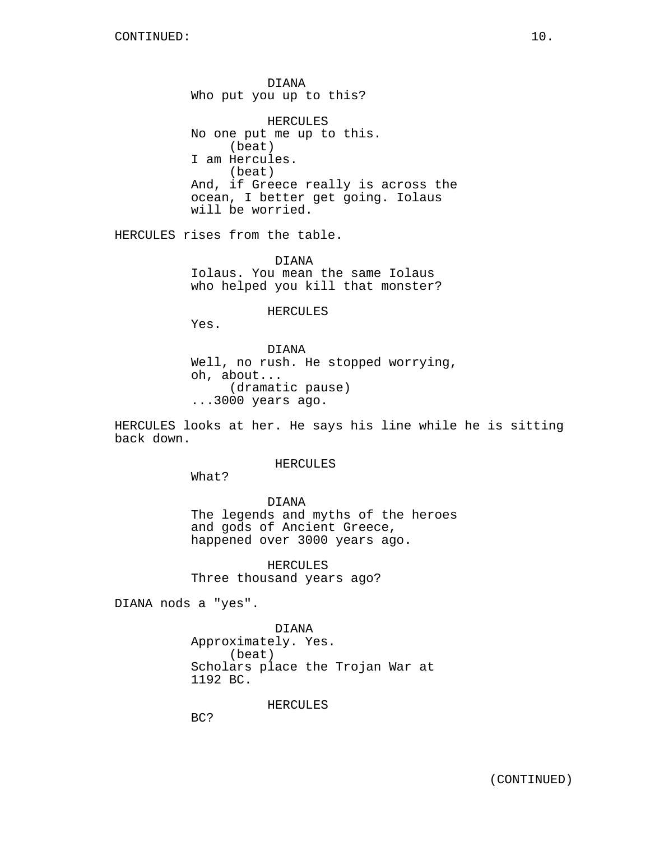DIANA Who put you up to this?

HERCULES No one put me up to this. (beat) I am Hercules. (beat) And, if Greece really is across the ocean, I better get going. Iolaus will be worried.

HERCULES rises from the table.

DIANA Iolaus. You mean the same Iolaus who helped you kill that monster?

HERCULES

Yes.

DIANA Well, no rush. He stopped worrying, oh, about... (dramatic pause) ...3000 years ago.

HERCULES looks at her. He says his line while he is sitting back down.

HERCULES

What?

DIANA The legends and myths of the heroes and gods of Ancient Greece, happened over 3000 years ago.

HERCULES Three thousand years ago?

DIANA nods a "yes".

DIANA Approximately. Yes. (beat) Scholars place the Trojan War at 1192 BC.

HERCULES

BC?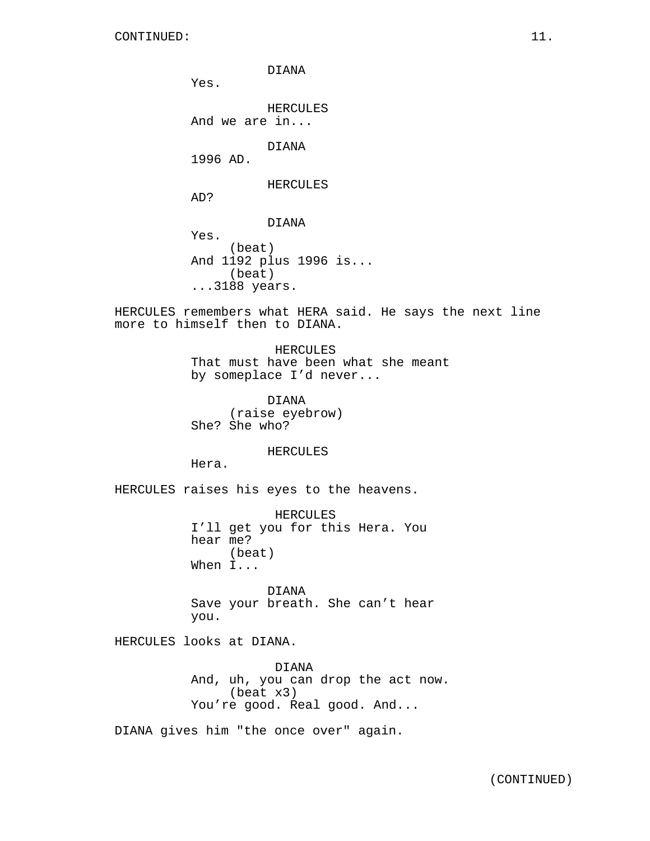DIANA Yes. HERCULES And we are in... DIANA 1996 AD. HERCULES AD? DIANA Yes. (beat) And 1192 plus 1996 is... (beat) ...3188 years.

HERCULES remembers what HERA said. He says the next line more to himself then to DIANA.

> HERCULES That must have been what she meant by someplace I'd never...

DIANA (raise eyebrow) She? She who?

HERCULES

Hera.

HERCULES raises his eyes to the heavens.

HERCULES I'll get you for this Hera. You hear me? (beat) When I...

DIANA Save your breath. She can't hear you.

HERCULES looks at DIANA.

DIANA And, uh, you can drop the act now. (beat x3) You're good. Real good. And...

DIANA gives him "the once over" again.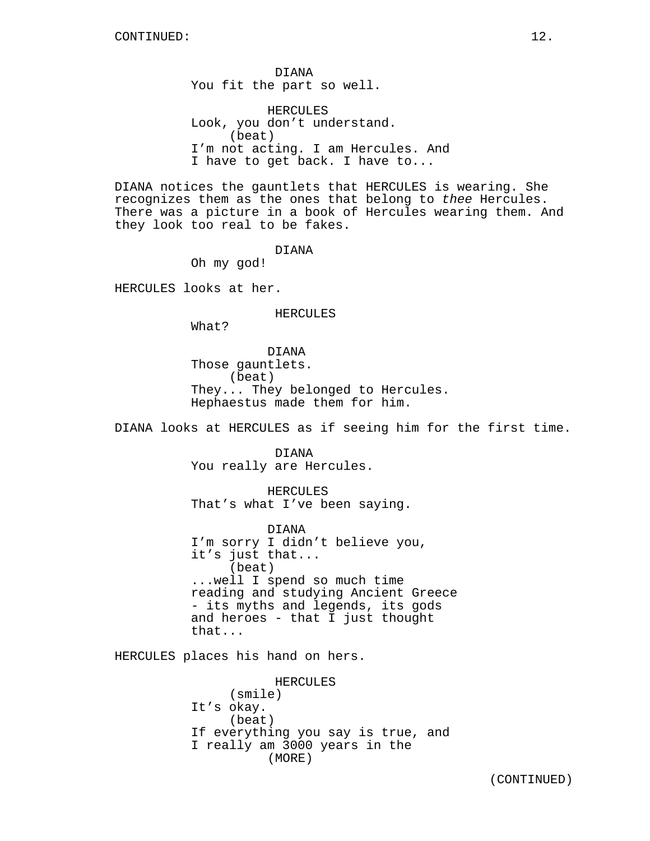DIANA You fit the part so well.

HERCULES Look, you don't understand. (beat) I'm not acting. I am Hercules. And I have to get back. I have to...

DIANA notices the gauntlets that HERCULES is wearing. She recognizes them as the ones that belong to thee Hercules. There was a picture in a book of Hercules wearing them. And they look too real to be fakes.

DIANA

Oh my god!

HERCULES looks at her.

HERCULES

What?

DIANA Those gauntlets. (beat) They... They belonged to Hercules. Hephaestus made them for him.

DIANA looks at HERCULES as if seeing him for the first time.

DIANA You really are Hercules.

HERCULES That's what I've been saying.

DIANA I'm sorry I didn't believe you, it's just that... (beat) ...well I spend so much time reading and studying Ancient Greece - its myths and legends, its gods and heroes - that I just thought that...

HERCULES places his hand on hers.

HERCULES (smile) It's okay. (beat) If everything you say is true, and I really am 3000 years in the (MORE)

(CONTINUED)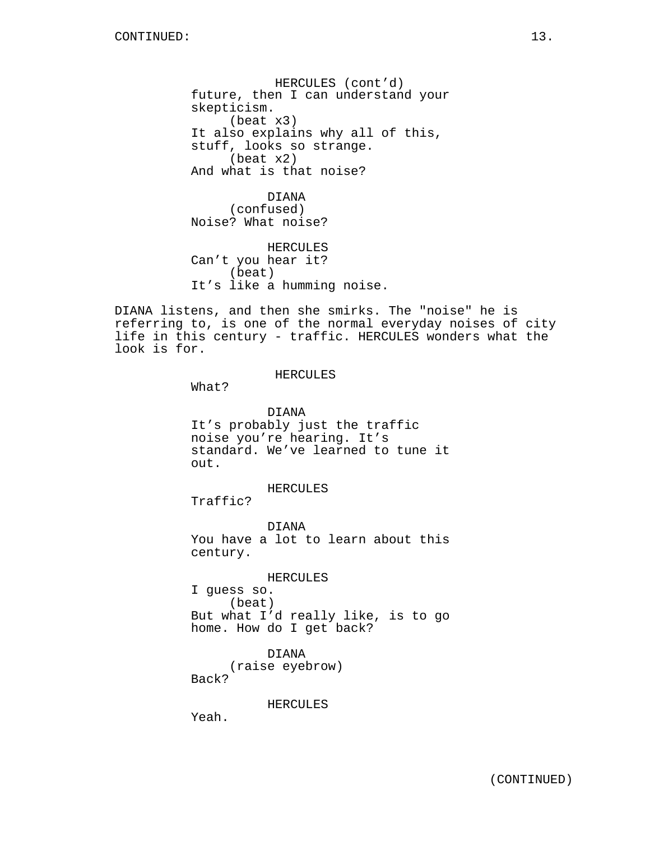HERCULES (cont'd) future, then I can understand your skepticism. (beat x3) It also explains why all of this, stuff, looks so strange. (beat x2) And what is that noise?

DIANA (confused) Noise? What noise?

HERCULES Can't you hear it? (beat) It's like a humming noise.

DIANA listens, and then she smirks. The "noise" he is referring to, is one of the normal everyday noises of city life in this century - traffic. HERCULES wonders what the look is for.

#### HERCULES

What?

DIANA It's probably just the traffic noise you're hearing. It's standard. We've learned to tune it out.

HERCULES

Traffic?

DIANA You have a lot to learn about this century.

HERCULES

I guess so. (beat) But what I'd really like, is to go home. How do I get back?

DIANA (raise eyebrow) Back?

HERCULES

Yeah.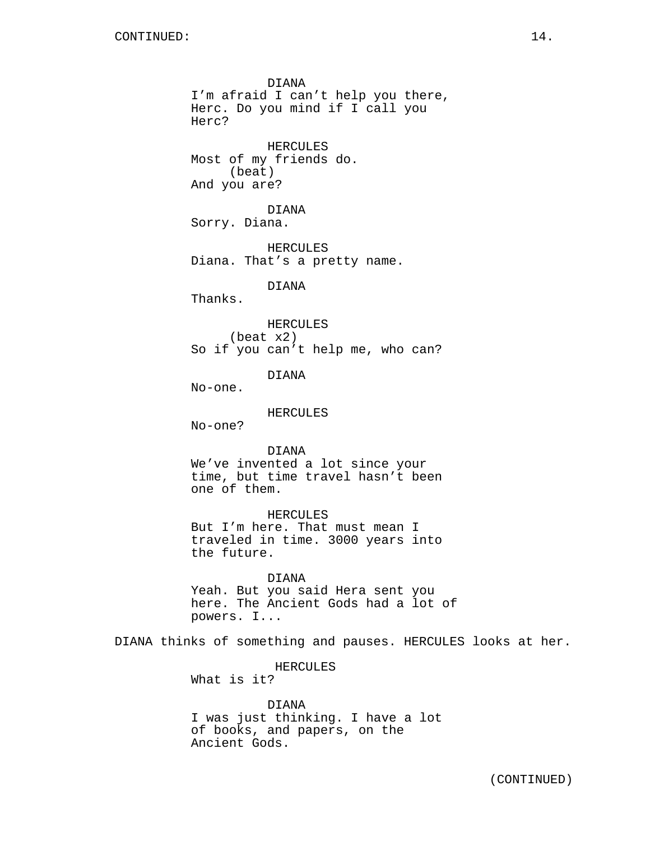DIANA I'm afraid I can't help you there, Herc. Do you mind if I call you Herc? HERCULES Most of my friends do. (beat) And you are? DIANA Sorry. Diana. HERCULES Diana. That's a pretty name. DIANA Thanks. HERCULES (beat x2) So if you can't help me, who can? DIANA No-one. HERCULES No-one? DIANA We've invented a lot since your time, but time travel hasn't been one of them. HERCULES But I'm here. That must mean I traveled in time. 3000 years into the future. DIANA Yeah. But you said Hera sent you here. The Ancient Gods had a lot of powers. I... DIANA thinks of something and pauses. HERCULES looks at her. HERCULES What is it? DIANA I was just thinking. I have a lot of books, and papers, on the Ancient Gods.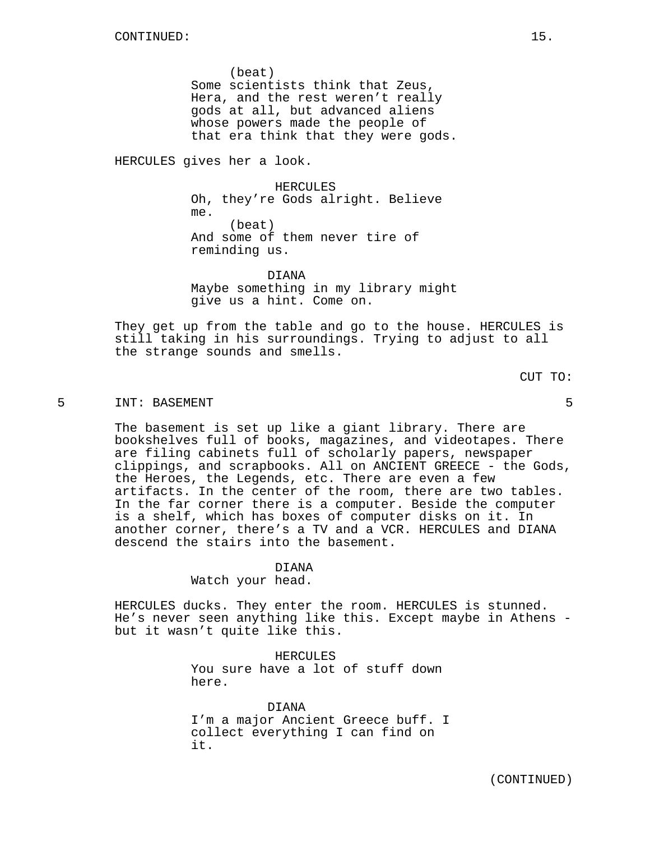(beat) Some scientists think that Zeus, Hera, and the rest weren't really gods at all, but advanced aliens whose powers made the people of that era think that they were gods.

HERCULES gives her a look.

HERCULES Oh, they're Gods alright. Believe me. (beat) And some of them never tire of reminding us.

DIANA Maybe something in my library might give us a hint. Come on.

They get up from the table and go to the house. HERCULES is still taking in his surroundings. Trying to adjust to all the strange sounds and smells.

CUT TO:

# 5 INT: BASEMENT 5

The basement is set up like a giant library. There are bookshelves full of books, magazines, and videotapes. There are filing cabinets full of scholarly papers, newspaper clippings, and scrapbooks. All on ANCIENT GREECE - the Gods, the Heroes, the Legends, etc. There are even a few artifacts. In the center of the room, there are two tables. In the far corner there is a computer. Beside the computer is a shelf, which has boxes of computer disks on it. In another corner, there's a TV and a VCR. HERCULES and DIANA descend the stairs into the basement.

#### DIANA

Watch your head.

HERCULES ducks. They enter the room. HERCULES is stunned. He's never seen anything like this. Except maybe in Athens but it wasn't quite like this.

> HERCULES You sure have a lot of stuff down here.

DIANA I'm a major Ancient Greece buff. I collect everything I can find on it.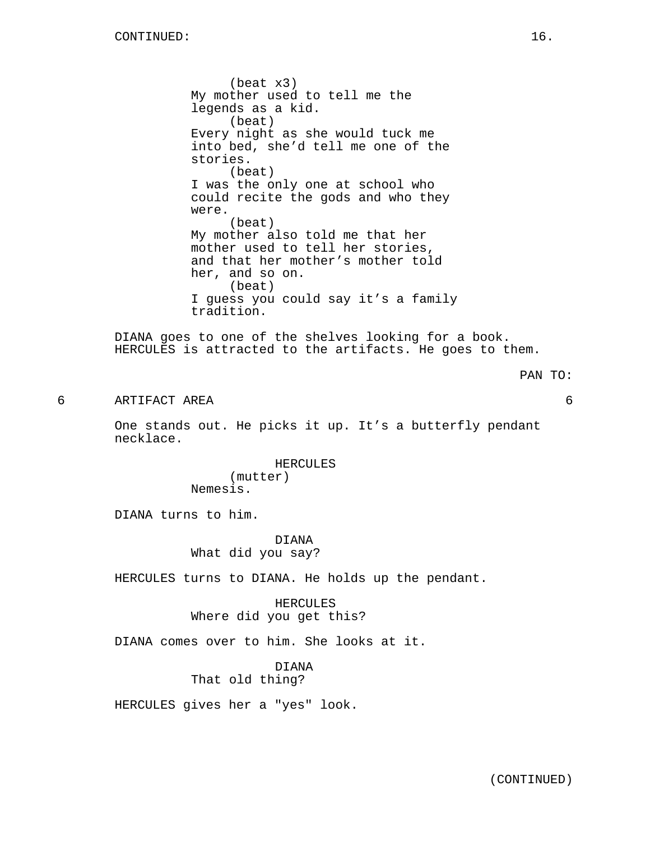(beat x3) My mother used to tell me the legends as a kid. (beat) Every night as she would tuck me into bed, she'd tell me one of the stories. (beat) I was the only one at school who could recite the gods and who they were. (beat) My mother also told me that her mother used to tell her stories, and that her mother's mother told her, and so on. (beat) I guess you could say it's a family tradition.

DIANA goes to one of the shelves looking for a book. HERCULES is attracted to the artifacts. He goes to them.

#### PAN TO:

6 ARTIFACT AREA 6

One stands out. He picks it up. It's a butterfly pendant necklace.

> HERCULES (mutter) Nemesis.

DIANA turns to him.

DIANA What did you say?

HERCULES turns to DIANA. He holds up the pendant.

HERCULES Where did you get this?

DIANA comes over to him. She looks at it.

DIANA That old thing?

HERCULES gives her a "yes" look.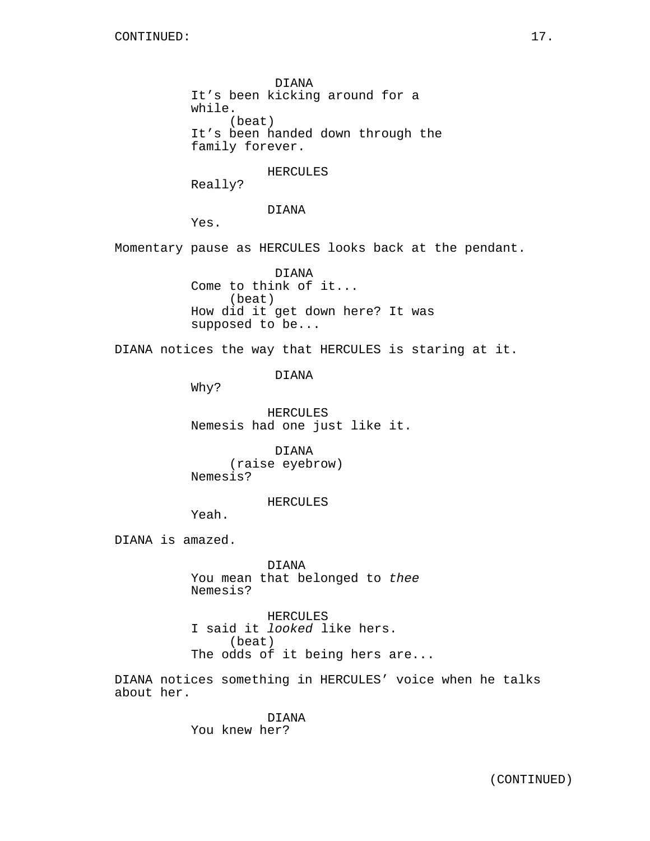DIANA It's been kicking around for a while. (beat) It's been handed down through the family forever.

HERCULES

Really?

DIANA

Yes.

Momentary pause as HERCULES looks back at the pendant.

DIANA Come to think of it... (beat) How did it get down here? It was supposed to be...

DIANA notices the way that HERCULES is staring at it.

DIANA

Why?

HERCULES Nemesis had one just like it.

DIANA (raise eyebrow) Nemesis?

HERCULES

Yeah.

DIANA is amazed.

DIANA You mean that belonged to thee Nemesis?

HERCULES I said it looked like hers. (beat) The odds of it being hers are...

DIANA notices something in HERCULES' voice when he talks about her.

> DIANA You knew her?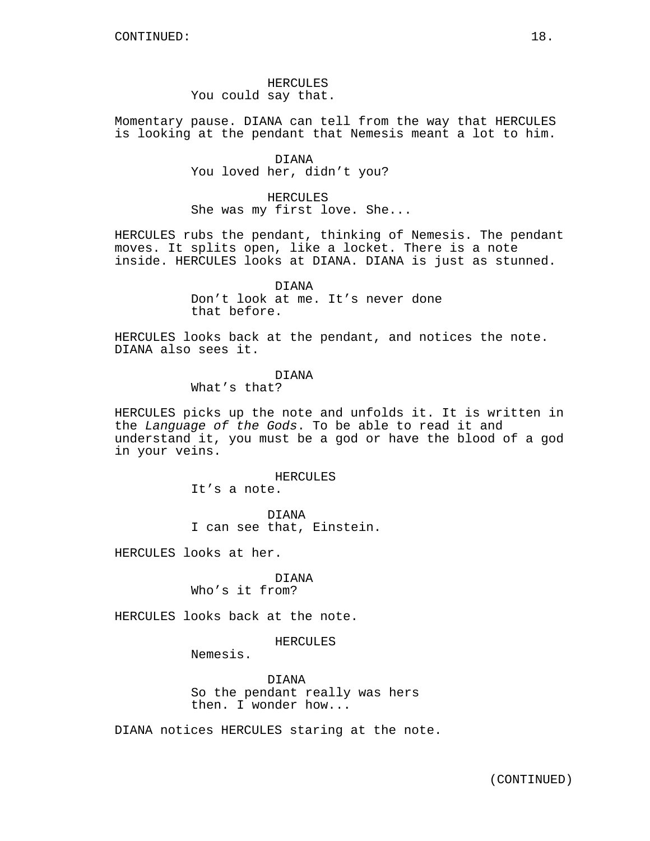HERCULES You could say that.

Momentary pause. DIANA can tell from the way that HERCULES is looking at the pendant that Nemesis meant a lot to him.

> DIANA You loved her, didn't you?

HERCULES She was my first love. She...

HERCULES rubs the pendant, thinking of Nemesis. The pendant moves. It splits open, like a locket. There is a note inside. HERCULES looks at DIANA. DIANA is just as stunned.

> DIANA Don't look at me. It's never done that before.

HERCULES looks back at the pendant, and notices the note. DIANA also sees it.

DIANA

What's that?

HERCULES picks up the note and unfolds it. It is written in the Language of the Gods. To be able to read it and understand it, you must be a god or have the blood of a god in your veins.

HERCULES

It's a note.

DIANA I can see that, Einstein.

HERCULES looks at her.

DIANA Who's it from?

HERCULES looks back at the note.

HERCULES

Nemesis.

DIANA So the pendant really was hers then. I wonder how...

DIANA notices HERCULES staring at the note.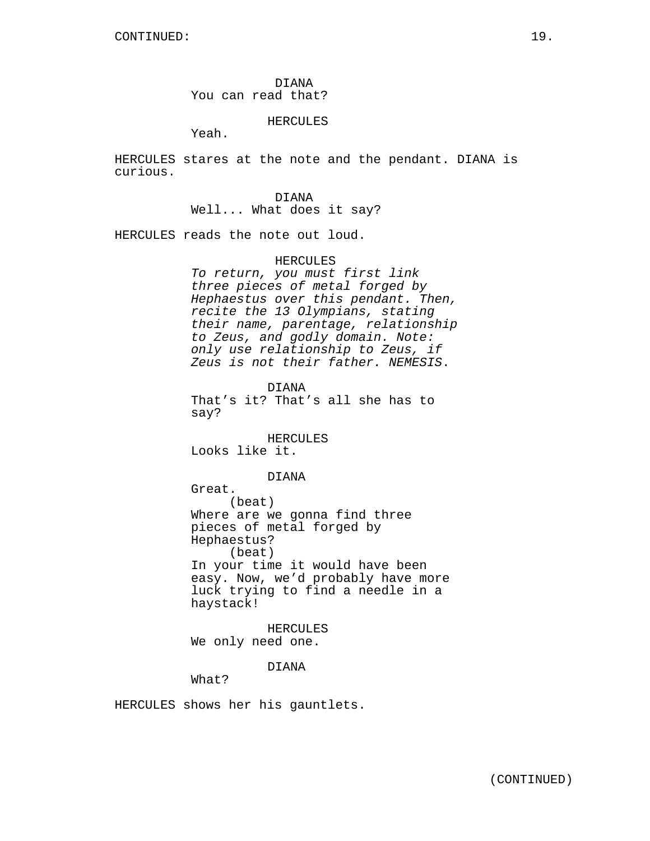DIANA You can read that?

# HERCULES

Yeah.

HERCULES stares at the note and the pendant. DIANA is curious.

> DIANA Well... What does it say?

HERCULES reads the note out loud.

#### HERCULES

To return, you must first link three pieces of metal forged by Hephaestus over this pendant. Then, recite the 13 Olympians, stating their name, parentage, relationship to Zeus, and godly domain. Note: only use relationship to Zeus, if Zeus is not their father. NEMESIS.

DIANA That's it? That's all she has to say?

HERCULES Looks like it.

#### DIANA

Great. (beat) Where are we gonna find three pieces of metal forged by Hephaestus? (beat) In your time it would have been easy. Now, we'd probably have more luck trying to find a needle in a haystack!

HERCULES We only need one.

DIANA

What?

HERCULES shows her his gauntlets.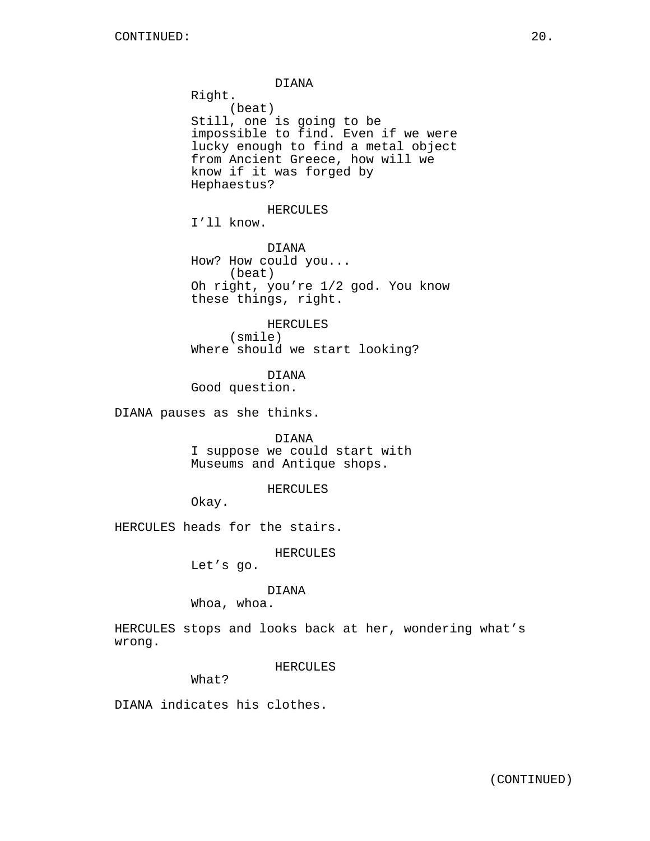DIANA Right. (beat) Still, one is going to be impossible to find. Even if we were lucky enough to find a metal object from Ancient Greece, how will we know if it was forged by Hephaestus? HERCULES I'll know. DIANA How? How could you... (beat) Oh right, you're 1/2 god. You know these things, right. HERCULES (smile) Where should we start looking? DIANA Good question. DIANA pauses as she thinks. DIANA I suppose we could start with Museums and Antique shops.

HERCULES

Okay.

HERCULES heads for the stairs.

HERCULES

Let's go.

DIANA

Whoa, whoa.

HERCULES stops and looks back at her, wondering what's wrong.

HERCULES

What?

DIANA indicates his clothes.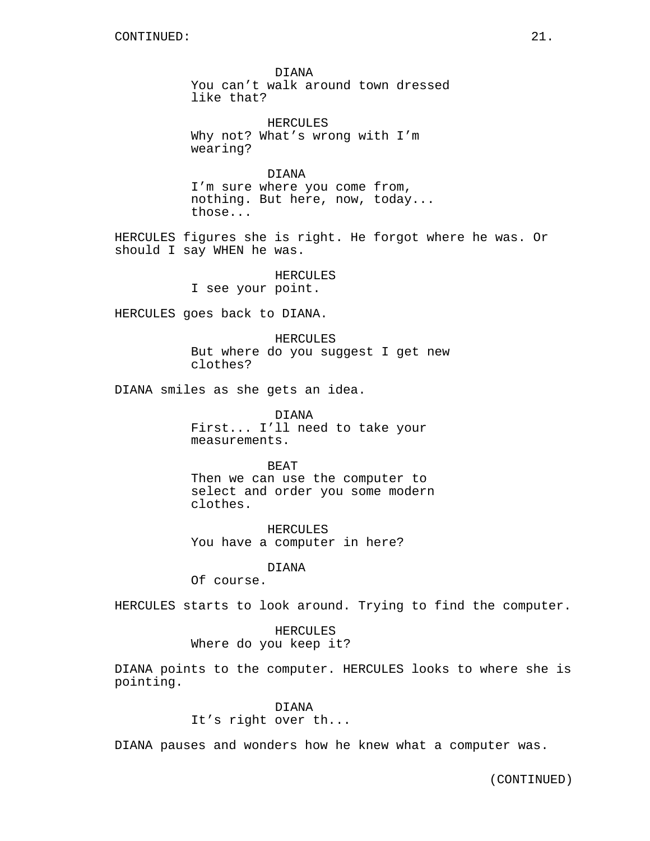DIANA You can't walk around town dressed like that?

HERCULES Why not? What's wrong with I'm wearing?

DIANA I'm sure where you come from, nothing. But here, now, today... those...

HERCULES figures she is right. He forgot where he was. Or should I say WHEN he was.

> HERCULES I see your point.

HERCULES goes back to DIANA.

HERCULES But where do you suggest I get new clothes?

DIANA smiles as she gets an idea.

DIANA First... I'll need to take your measurements.

BEAT Then we can use the computer to select and order you some modern clothes.

HERCULES You have a computer in here?

DIANA

Of course.

HERCULES starts to look around. Trying to find the computer.

# HERCULES Where do you keep it?

DIANA points to the computer. HERCULES looks to where she is pointing.

## DIANA

It's right over th...

DIANA pauses and wonders how he knew what a computer was.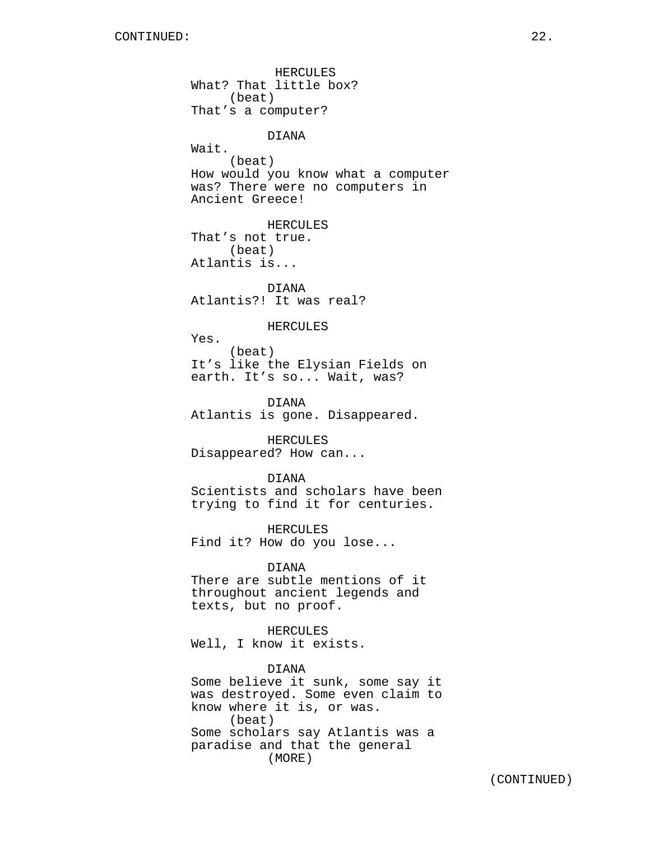What? That little box? (beat) That's a computer? DIANA Wait. (beat) How would you know what a computer was? There were no computers in Ancient Greece! HERCULES That's not true. (beat) Atlantis is... DIANA Atlantis?! It was real? HERCULES Yes. (beat) It's like the Elysian Fields on earth. It's so... Wait, was? DIANA Atlantis is gone. Disappeared. HERCULES Disappeared? How can... DIANA Scientists and scholars have been trying to find it for centuries. HERCULES Find it? How do you lose... DIANA There are subtle mentions of it throughout ancient legends and texts, but no proof. HERCULES Well, I know it exists. DIANA Some believe it sunk, some say it was destroyed. Some even claim to know where it is, or was. (beat) Some scholars say Atlantis was a paradise and that the general (MORE)

HERCULES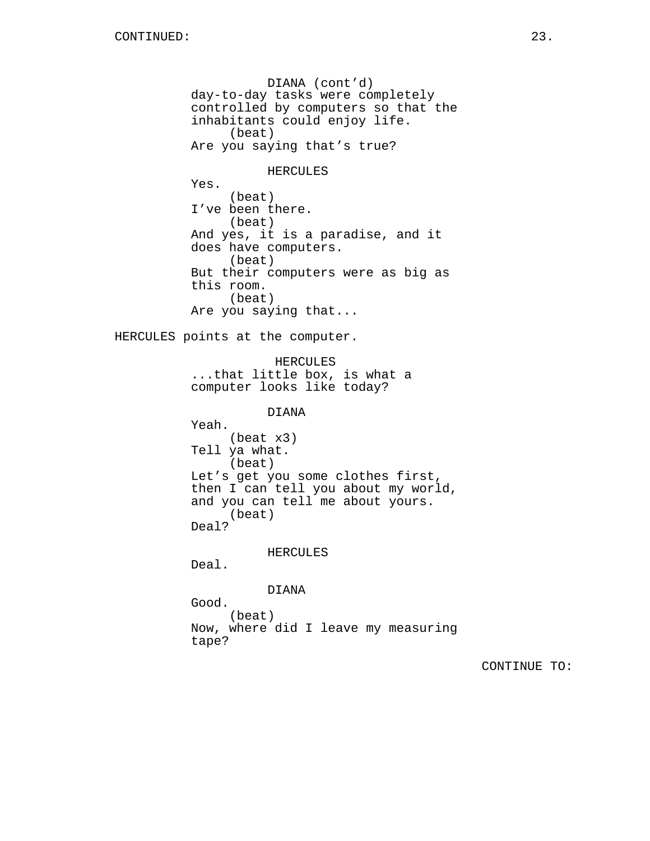DIANA (cont'd) day-to-day tasks were completely controlled by computers so that the inhabitants could enjoy life. (beat) Are you saying that's true? HERCULES Yes. (beat) I've been there. (beat) And yes, it is a paradise, and it does have computers. (beat) But their computers were as big as this room. (beat) Are you saying that... HERCULES points at the computer. HERCULES ...that little box, is what a computer looks like today? DIANA Yeah. (beat x3) Tell ya what. (beat) Let's get you some clothes first, then I can tell you about my world, and you can tell me about yours. (beat) Deal? HERCULES Deal. DIANA Good. (beat) Now, where did I leave my measuring tape?

CONTINUE TO: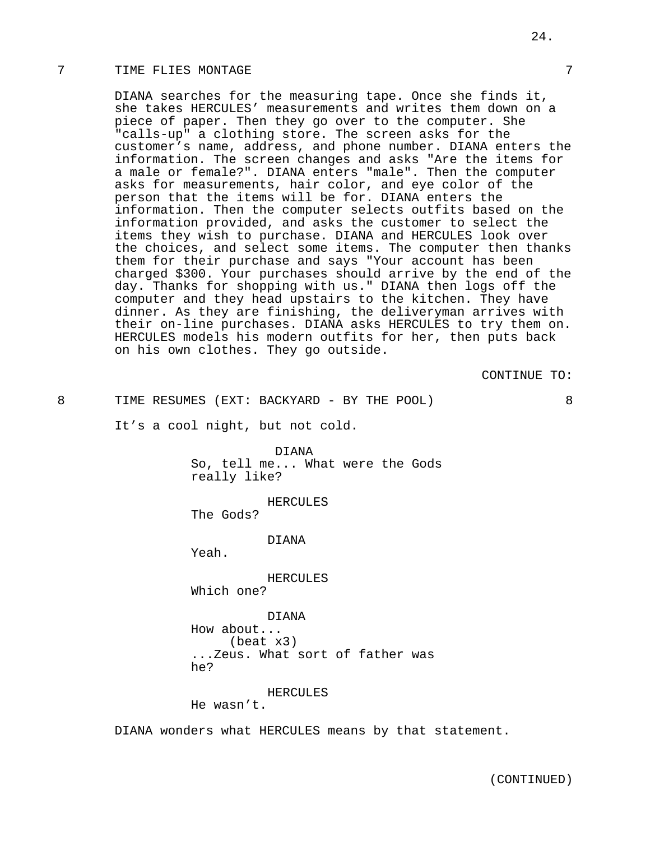# 7 TIME FLIES MONTAGE 7

DIANA searches for the measuring tape. Once she finds it, she takes HERCULES' measurements and writes them down on a piece of paper. Then they go over to the computer. She "calls-up" a clothing store. The screen asks for the customer's name, address, and phone number. DIANA enters the information. The screen changes and asks "Are the items for a male or female?". DIANA enters "male". Then the computer asks for measurements, hair color, and eye color of the person that the items will be for. DIANA enters the information. Then the computer selects outfits based on the information provided, and asks the customer to select the items they wish to purchase. DIANA and HERCULES look over the choices, and select some items. The computer then thanks them for their purchase and says "Your account has been charged \$300. Your purchases should arrive by the end of the day. Thanks for shopping with us." DIANA then logs off the computer and they head upstairs to the kitchen. They have dinner. As they are finishing, the deliveryman arrives with their on-line purchases. DIANA asks HERCULES to try them on. HERCULES models his modern outfits for her, then puts back on his own clothes. They go outside.

CONTINUE TO:

8 TIME RESUMES (EXT: BACKYARD - BY THE POOL) 8

It's a cool night, but not cold.

DIANA So, tell me... What were the Gods really like?

HERCULES

The Gods?

DIANA

Yeah.

HERCULES

Which one?

DIANA

How about... (beat x3) ...Zeus. What sort of father was he?

#### HERCULES

He wasn't.

DIANA wonders what HERCULES means by that statement.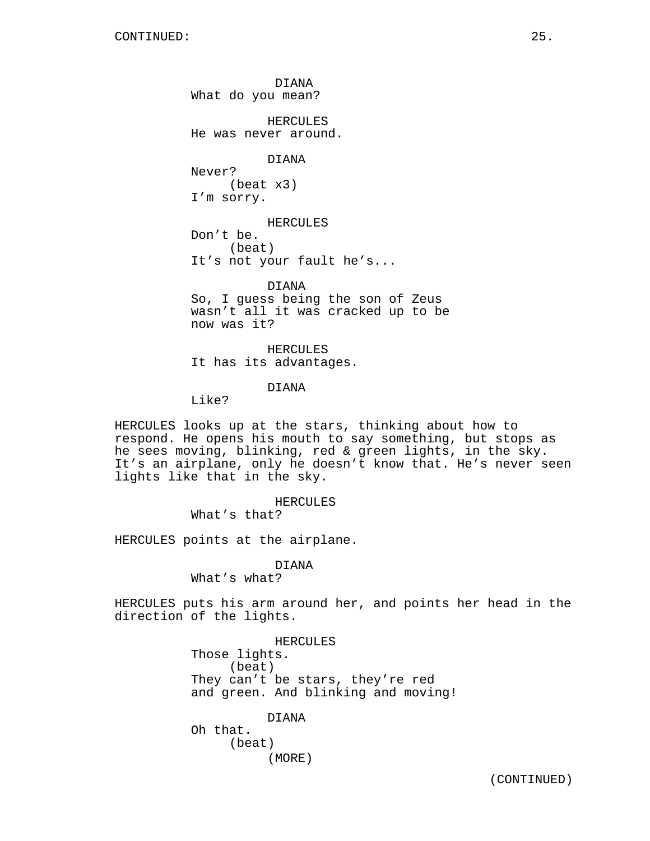DIANA What do you mean?

HERCULES He was never around.

DIANA

Never? (beat x3) I'm sorry.

HERCULES

Don't be. (beat) It's not your fault he's...

DIANA So, I guess being the son of Zeus wasn't all it was cracked up to be now was it?

HERCULES It has its advantages.

DIANA

Like?

HERCULES looks up at the stars, thinking about how to respond. He opens his mouth to say something, but stops as he sees moving, blinking, red & green lights, in the sky. It's an airplane, only he doesn't know that. He's never seen lights like that in the sky.

HERCULES

What's that?

HERCULES points at the airplane.

## DIANA

What's what?

HERCULES puts his arm around her, and points her head in the direction of the lights.

> HERCULES Those lights. (beat) They can't be stars, they're red and green. And blinking and moving!

> > DIANA

Oh that. (beat) (MORE)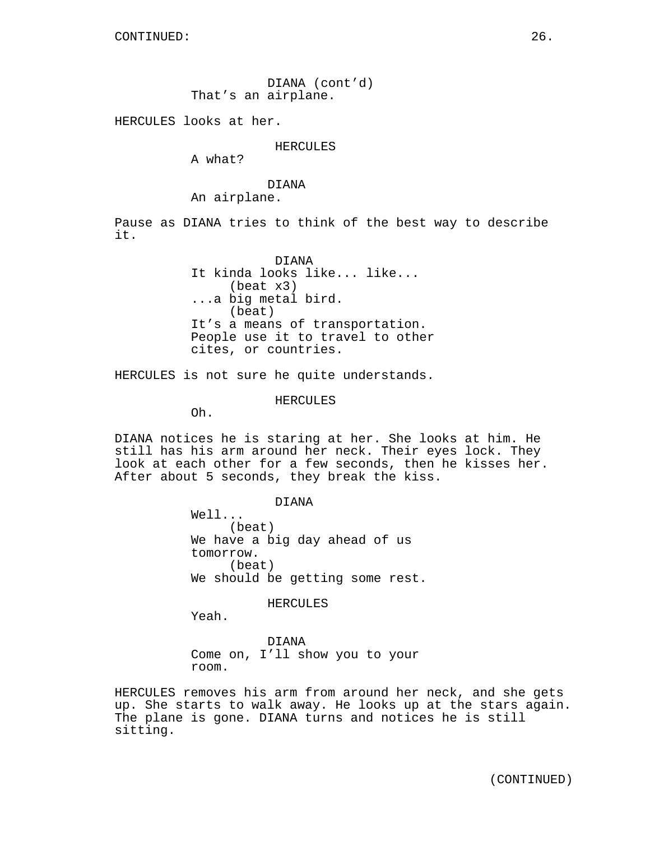DIANA (cont'd) That's an airplane.

HERCULES looks at her.

HERCULES

A what?

DIANA

An airplane.

Pause as DIANA tries to think of the best way to describe it.

> DIANA It kinda looks like... like... (beat x3) ...a big metal bird. (beat) It's a means of transportation. People use it to travel to other cites, or countries.

HERCULES is not sure he quite understands.

HERCULES

Oh.

DIANA notices he is staring at her. She looks at him. He still has his arm around her neck. Their eyes lock. They look at each other for a few seconds, then he kisses her. After about 5 seconds, they break the kiss.

DIANA

Well... (beat) We have a big day ahead of us tomorrow. (beat) We should be getting some rest.

HERCULES

Yeah.

DIANA Come on, I'll show you to your room.

HERCULES removes his arm from around her neck, and she gets up. She starts to walk away. He looks up at the stars again. The plane is gone. DIANA turns and notices he is still sitting.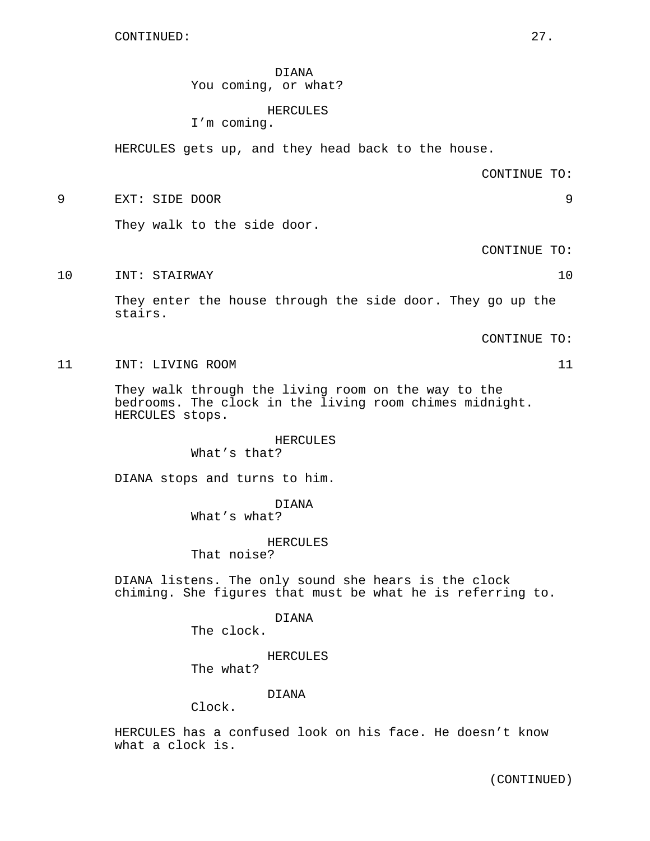DIANA You coming, or what?

# HERCULES

I'm coming.

HERCULES gets up, and they head back to the house.

CONTINUE TO:

9 EXT: SIDE DOOR 9

They walk to the side door.

CONTINUE TO:

10 INT: STAIRWAY 10

They enter the house through the side door. They go up the stairs.

CONTINUE TO:

11 INT: LIVING ROOM 11

They walk through the living room on the way to the bedrooms. The clock in the living room chimes midnight. HERCULES stops.

#### HERCULES

What's that?

DIANA stops and turns to him.

## DIANA

What's what?

# HERCULES

That noise?

DIANA listens. The only sound she hears is the clock chiming. She figures that must be what he is referring to.

DIANA

The clock.

HERCULES

The what?

# DIANA

Clock.

HERCULES has a confused look on his face. He doesn't know what a clock is.

(CONTINUED)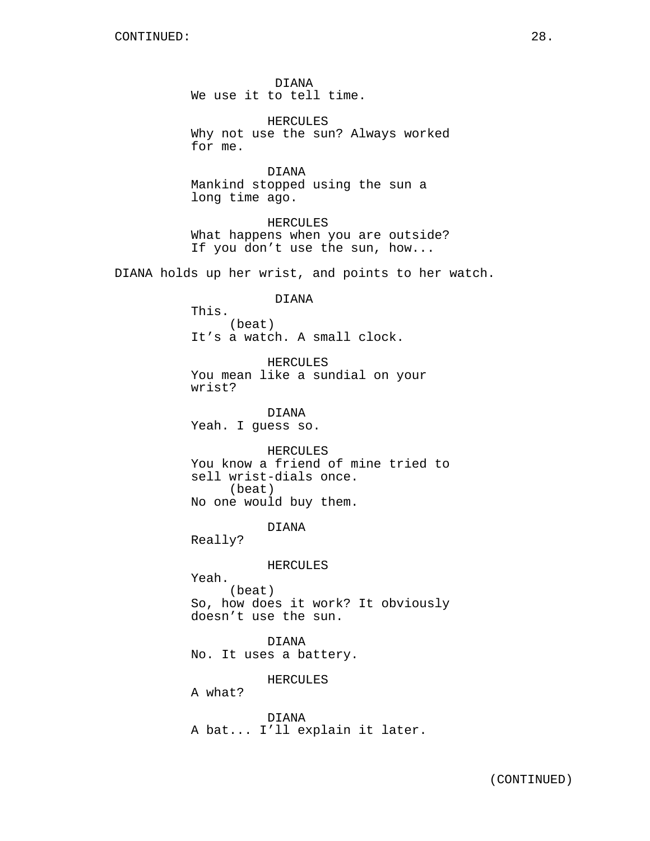DIANA We use it to tell time.

HERCULES Why not use the sun? Always worked for me.

DIANA Mankind stopped using the sun a long time ago.

HERCULES What happens when you are outside? If you don't use the sun, how...

DIANA holds up her wrist, and points to her watch.

DIANA

This. (beat) It's a watch. A small clock.

HERCULES You mean like a sundial on your wrist?

DIANA Yeah. I guess so.

HERCULES You know a friend of mine tried to sell wrist-dials once. (beat) No one would buy them.

DIANA

Really?

HERCULES

Yeah. (beat) So, how does it work? It obviously doesn't use the sun.

DIANA No. It uses a battery.

HERCULES

A what?

DIANA A bat... I'll explain it later.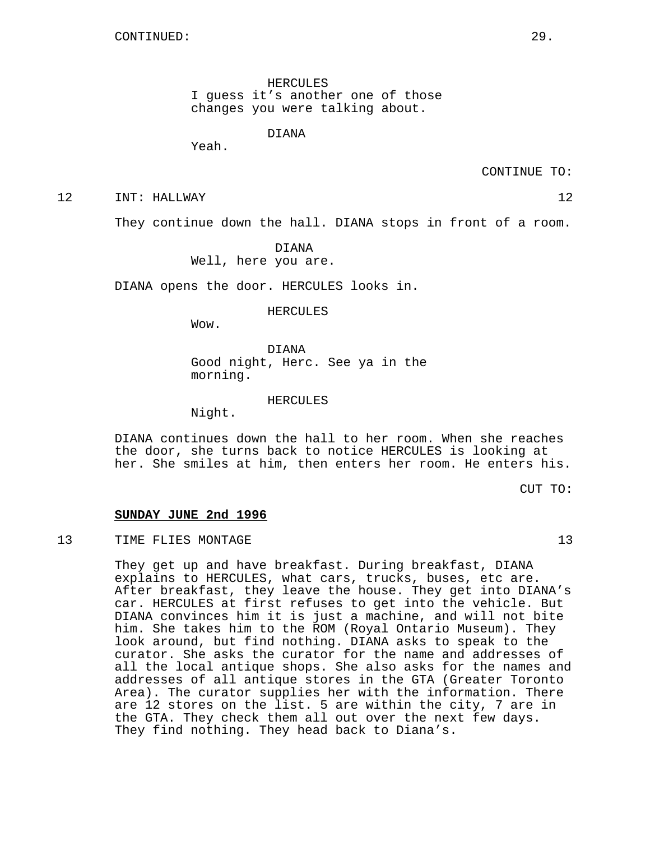HERCULES I guess it's another one of those changes you were talking about.

DIANA

Yeah.

CONTINUE TO:

12 INT: HALLWAY 12

They continue down the hall. DIANA stops in front of a room.

DIANA Well, here you are.

DIANA opens the door. HERCULES looks in.

HERCULES

Wow.

DIANA Good night, Herc. See ya in the morning.

HERCULES

Night.

DIANA continues down the hall to her room. When she reaches the door, she turns back to notice HERCULES is looking at her. She smiles at him, then enters her room. He enters his.

CUT TO:

# **SUNDAY JUNE 2nd 1996**

## 13 TIME FLIES MONTAGE 13

They get up and have breakfast. During breakfast, DIANA explains to HERCULES, what cars, trucks, buses, etc are. After breakfast, they leave the house. They get into DIANA's car. HERCULES at first refuses to get into the vehicle. But DIANA convinces him it is just a machine, and will not bite him. She takes him to the ROM (Royal Ontario Museum). They look around, but find nothing. DIANA asks to speak to the curator. She asks the curator for the name and addresses of all the local antique shops. She also asks for the names and addresses of all antique stores in the GTA (Greater Toronto Area). The curator supplies her with the information. There are 12 stores on the list. 5 are within the city, 7 are in the GTA. They check them all out over the next few days. They find nothing. They head back to Diana's.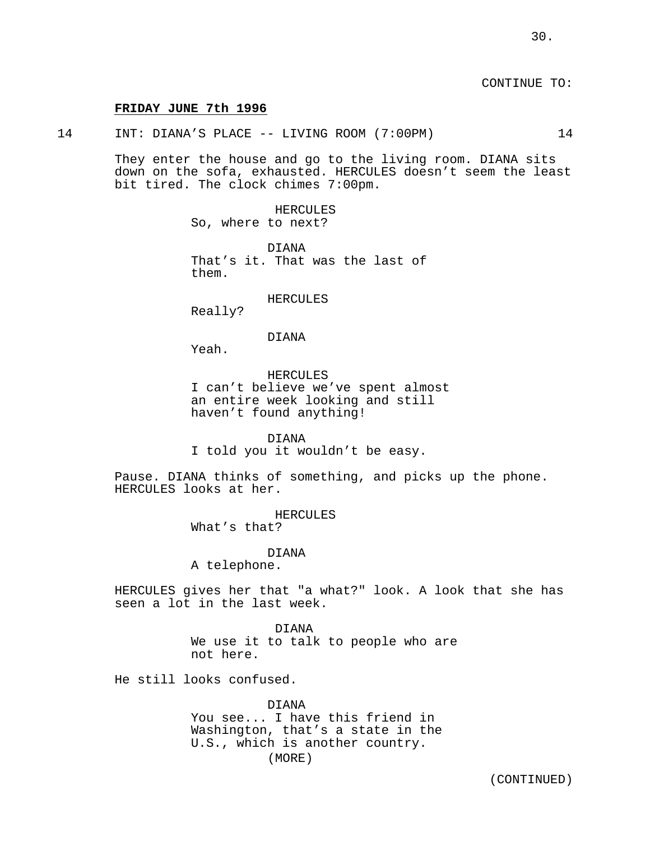CONTINUE TO:

#### **FRIDAY JUNE 7th 1996**

14 INT: DIANA'S PLACE -- LIVING ROOM (7:00PM) 14

They enter the house and go to the living room. DIANA sits down on the sofa, exhausted. HERCULES doesn't seem the least bit tired. The clock chimes 7:00pm.

> HERCULES So, where to next?

DIANA That's it. That was the last of them.

HERCULES

Really?

#### DIANA

Yeah.

HERCULES I can't believe we've spent almost an entire week looking and still haven't found anything!

DIANA I told you it wouldn't be easy.

Pause. DIANA thinks of something, and picks up the phone. HERCULES looks at her.

> HERCULES What's that?

> > DIANA

A telephone.

HERCULES gives her that "a what?" look. A look that she has seen a lot in the last week.

> DIANA We use it to talk to people who are not here.

He still looks confused.

DIANA You see... I have this friend in Washington, that's a state in the U.S., which is another country. (MORE)

(CONTINUED)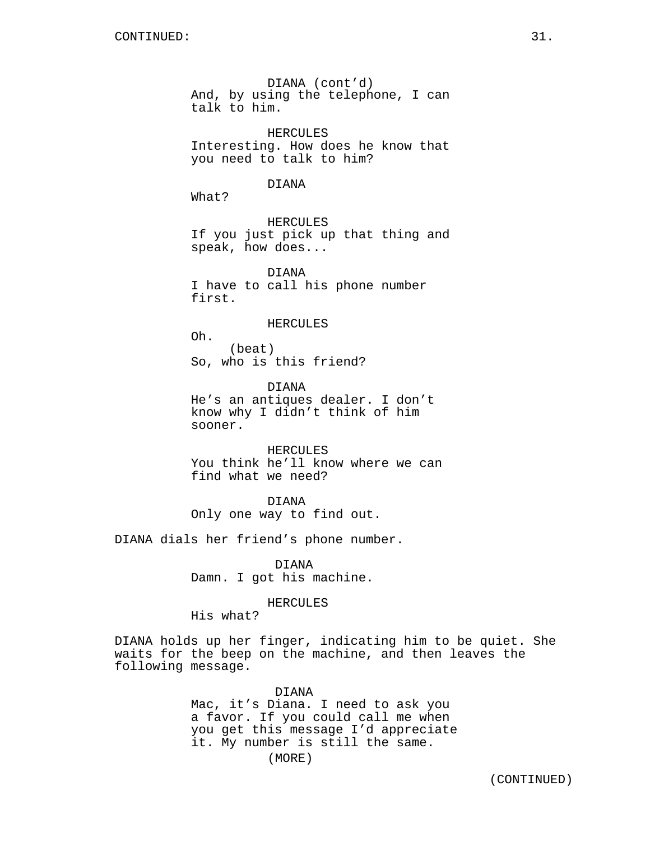DIANA (cont'd) And, by using the telephone, I can talk to him.

HERCULES Interesting. How does he know that you need to talk to him?

#### DIANA

What?

HERCULES If you just pick up that thing and speak, how does...

DIANA I have to call his phone number first.

## HERCULES

Oh. (beat) So, who is this friend?

DIANA He's an antiques dealer. I don't know why I didn't think of him sooner.

HERCULES You think he'll know where we can find what we need?

#### DIANA

Only one way to find out.

DIANA dials her friend's phone number.

DIANA Damn. I got his machine.

## HERCULES

His what?

DIANA holds up her finger, indicating him to be quiet. She waits for the beep on the machine, and then leaves the following message.

## DIANA

Mac, it's Diana. I need to ask you a favor. If you could call me when you get this message I'd appreciate it. My number is still the same.

(MORE)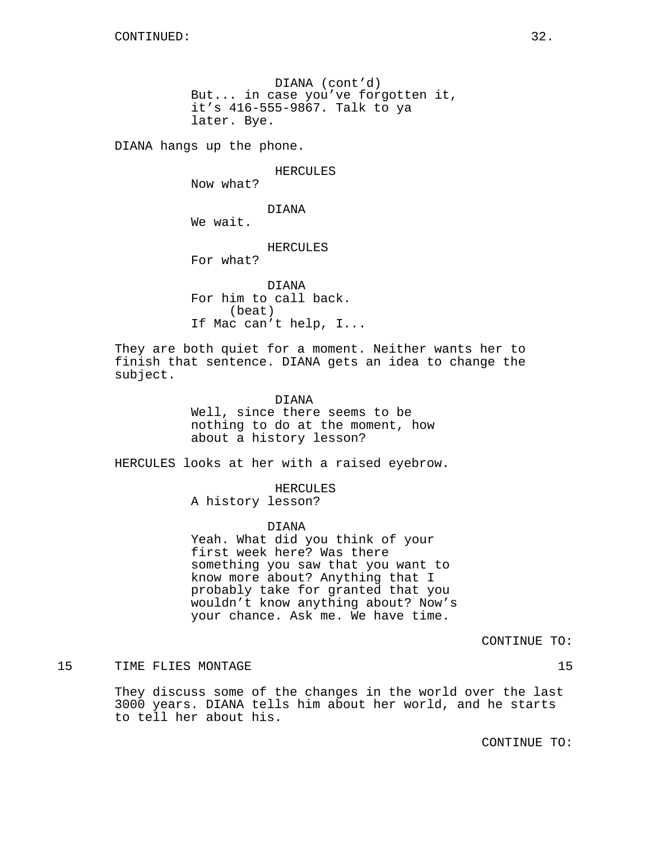DIANA (cont'd) But... in case you've forgotten it, it's 416-555-9867. Talk to ya later. Bye.

DIANA hangs up the phone.

HERCULES

Now what?

DIANA

We wait.

HERCULES

For what?

DIANA For him to call back. (beat) If Mac can't help, I...

They are both quiet for a moment. Neither wants her to finish that sentence. DIANA gets an idea to change the subject.

DIANA

Well, since there seems to be nothing to do at the moment, how about a history lesson?

HERCULES looks at her with a raised eyebrow.

HERCULES A history lesson?

DIANA

Yeah. What did you think of your first week here? Was there something you saw that you want to know more about? Anything that I probably take for granted that you wouldn't know anything about? Now's your chance. Ask me. We have time.

CONTINUE TO:

15 TIME FLIES MONTAGE 15

They discuss some of the changes in the world over the last 3000 years. DIANA tells him about her world, and he starts to tell her about his.

CONTINUE TO: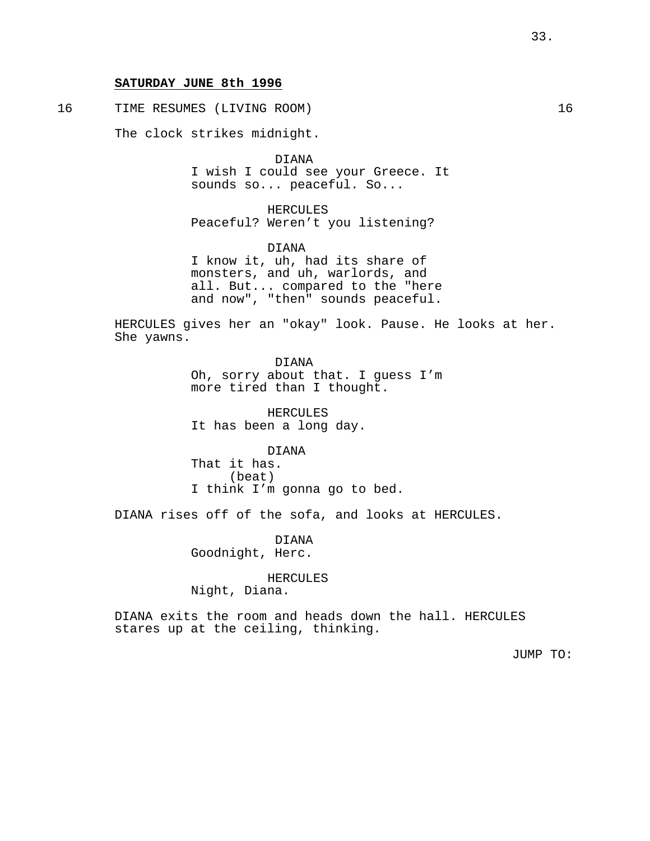# **SATURDAY JUNE 8th 1996**

16 TIME RESUMES (LIVING ROOM) 16

The clock strikes midnight.

DIANA I wish I could see your Greece. It sounds so... peaceful. So...

HERCULES Peaceful? Weren't you listening?

DIANA I know it, uh, had its share of monsters, and uh, warlords, and all. But... compared to the "here and now", "then" sounds peaceful.

HERCULES gives her an "okay" look. Pause. He looks at her. She yawns.

> DIANA Oh, sorry about that. I guess I'm more tired than I thought.

HERCULES It has been a long day.

DIANA That it has. (beat) I think I'm gonna go to bed.

DIANA rises off of the sofa, and looks at HERCULES.

DIANA Goodnight, Herc.

HERCULES

Night, Diana.

DIANA exits the room and heads down the hall. HERCULES stares up at the ceiling, thinking.

JUMP TO: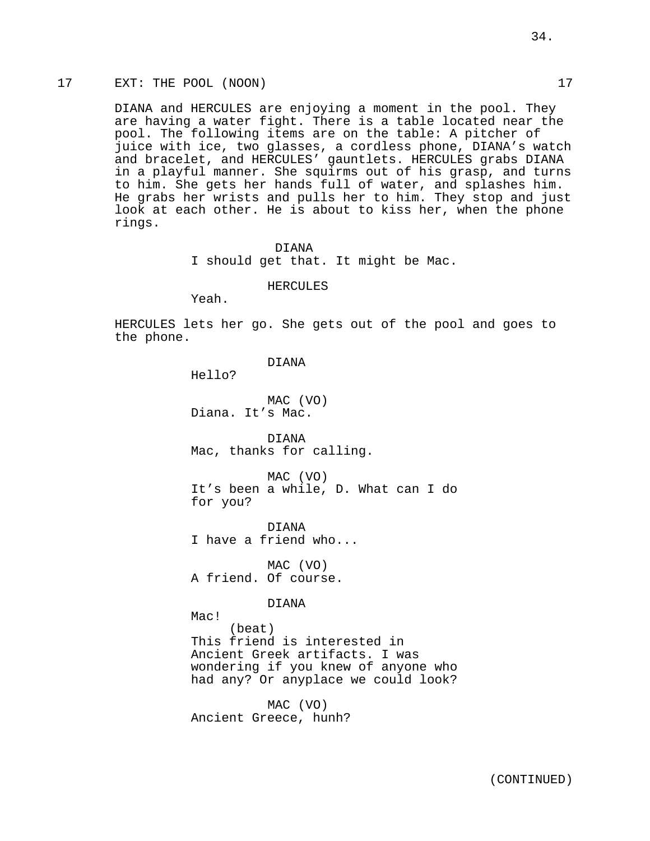# 17 EXT: THE POOL (NOON) 17

DIANA and HERCULES are enjoying a moment in the pool. They are having a water fight. There is a table located near the pool. The following items are on the table: A pitcher of juice with ice, two glasses, a cordless phone, DIANA's watch and bracelet, and HERCULES' gauntlets. HERCULES grabs DIANA in a playful manner. She squirms out of his grasp, and turns to him. She gets her hands full of water, and splashes him. He grabs her wrists and pulls her to him. They stop and just look at each other. He is about to kiss her, when the phone rings.

> DIANA I should get that. It might be Mac.

#### HERCULES

Yeah.

HERCULES lets her go. She gets out of the pool and goes to the phone.

# DIANA

Hello?

MAC (VO) Diana. It's Mac.

DIANA Mac, thanks for calling.

MAC (VO) It's been a while, D. What can I do for you?

DIANA I have a friend who...

MAC (VO) A friend. Of course.

# DIANA

Mac! (beat) This friend is interested in Ancient Greek artifacts. I was wondering if you knew of anyone who had any? Or anyplace we could look?

MAC (VO) Ancient Greece, hunh?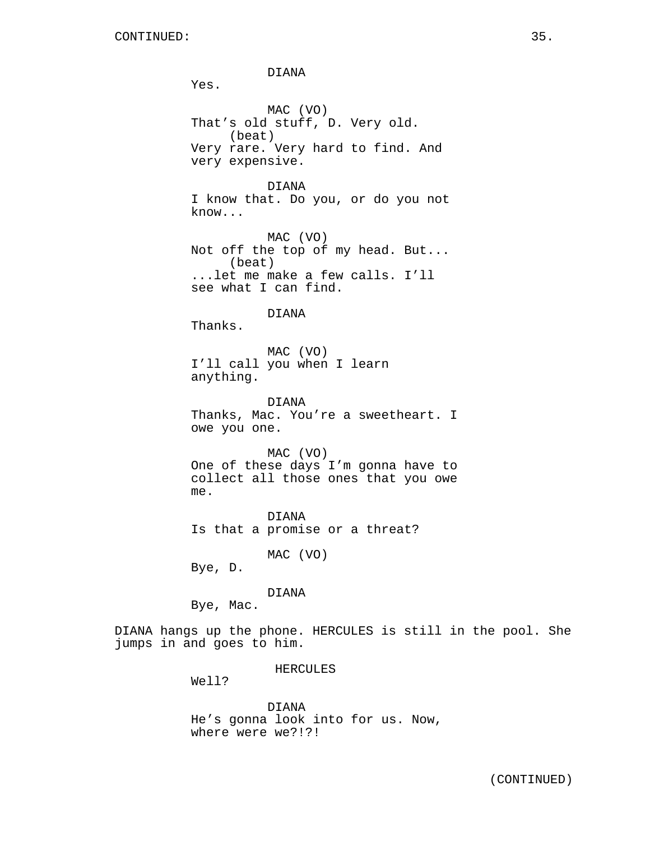DIANA Yes. MAC (VO) That's old stuff, D. Very old. (beat) Very rare. Very hard to find. And very expensive. DIANA I know that. Do you, or do you not know... MAC (VO) Not off the top of my head. But... (beat) ...let me make a few calls. I'll see what I can find. DIANA Thanks. MAC (VO) I'll call you when I learn anything. DIANA Thanks, Mac. You're a sweetheart. I owe you one. MAC (VO) One of these days I'm gonna have to collect all those ones that you owe me. DIANA Is that a promise or a threat? MAC (VO) Bye, D. DIANA Bye, Mac. DIANA hangs up the phone. HERCULES is still in the pool. She jumps in and goes to him.

HERCULES

Well?

DIANA He's gonna look into for us. Now, where were we?!?!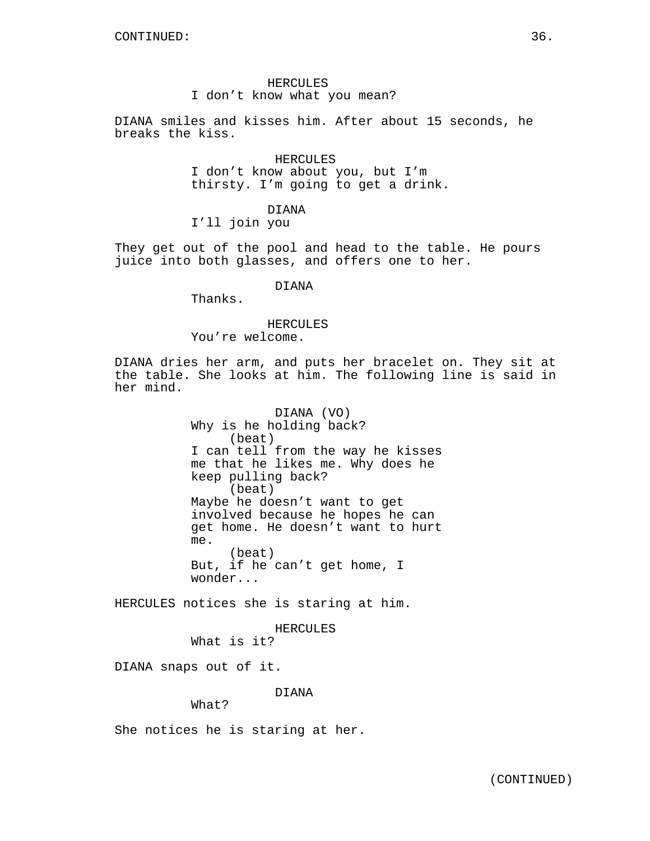# HERCULES I don't know what you mean?

DIANA smiles and kisses him. After about 15 seconds, he breaks the kiss.

> HERCULES I don't know about you, but I'm thirsty. I'm going to get a drink.

## DIANA I'll join you

They get out of the pool and head to the table. He pours juice into both glasses, and offers one to her.

# DIANA

Thanks.

## HERCULES

You're welcome.

DIANA dries her arm, and puts her bracelet on. They sit at the table. She looks at him. The following line is said in her mind.

> DIANA (VO) Why is he holding back? (beat) I can tell from the way he kisses me that he likes me. Why does he keep pulling back? (beat) Maybe he doesn't want to get involved because he hopes he can get home. He doesn't want to hurt me. (beat) But, if he can't get home, I wonder...

HERCULES notices she is staring at him.

HERCULES

What is it?

DIANA snaps out of it.

# DIANA

What?

She notices he is staring at her.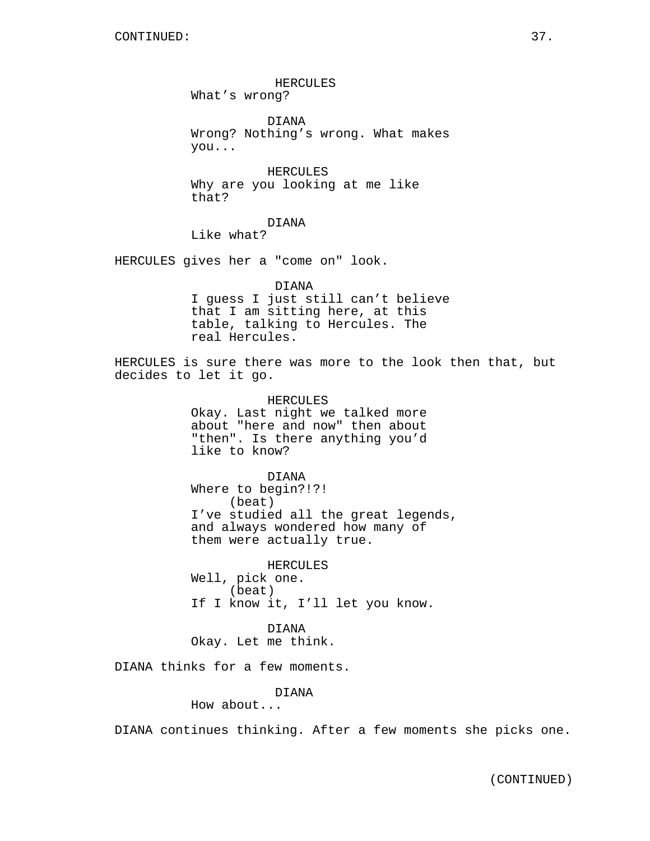HERCULES What's wrong?

DIANA Wrong? Nothing's wrong. What makes you...

HERCULES Why are you looking at me like that?

DIANA

Like what?

HERCULES gives her a "come on" look.

DIANA I guess I just still can't believe that I am sitting here, at this table, talking to Hercules. The real Hercules.

HERCULES is sure there was more to the look then that, but decides to let it go.

> HERCULES Okay. Last night we talked more about "here and now" then about "then". Is there anything you'd like to know?

DIANA Where to begin?!?! (beat) I've studied all the great legends, and always wondered how many of them were actually true.

HERCULES Well, pick one. (beat) If I know it, I'll let you know.

DIANA Okay. Let me think.

DIANA thinks for a few moments.

DIANA

How about...

DIANA continues thinking. After a few moments she picks one.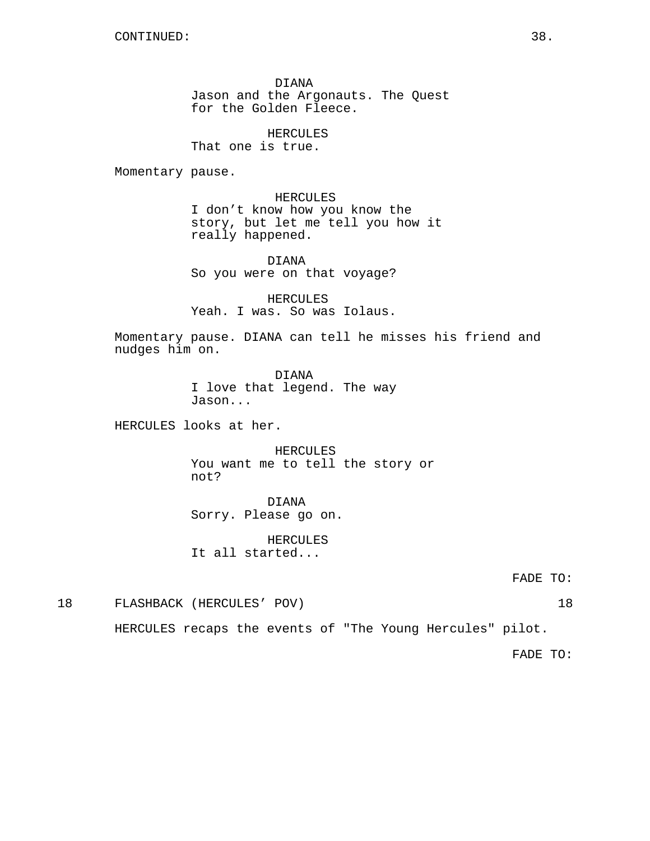DIANA Jason and the Argonauts. The Quest for the Golden Fleece.

HERCULES That one is true.

Momentary pause.

HERCULES I don't know how you know the story, but let me tell you how it really happened.

DIANA So you were on that voyage?

HERCULES Yeah. I was. So was Iolaus.

Momentary pause. DIANA can tell he misses his friend and nudges him on.

> DIANA I love that legend. The way Jason...

HERCULES looks at her.

HERCULES You want me to tell the story or not?

DIANA Sorry. Please go on.

HERCULES It all started...

FADE TO:

18 FLASHBACK (HERCULES' POV) 18

HERCULES recaps the events of "The Young Hercules" pilot.

FADE TO: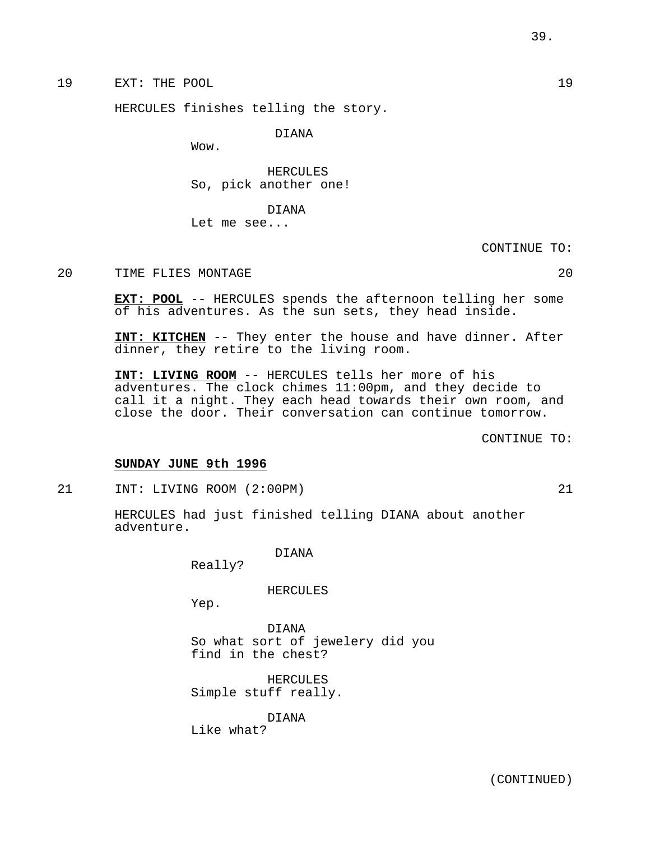19 EXT: THE POOL 19

HERCULES finishes telling the story.

DIANA

Wow.

HERCULES So, pick another one!

DIANA Let me see...

CONTINUE TO:

20 TIME FLIES MONTAGE 20

**EXT: POOL** -- HERCULES spends the afternoon telling her some of his adventures. As the sun sets, they head inside.

**INT: KITCHEN** -- They enter the house and have dinner. After dinner, they retire to the living room.

**INT: LIVING ROOM** -- HERCULES tells her more of his adventures. The clock chimes 11:00pm, and they decide to call it a night. They each head towards their own room, and close the door. Their conversation can continue tomorrow.

CONTINUE TO:

## **SUNDAY JUNE 9th 1996**

21 INT: LIVING ROOM (2:00PM) 21

HERCULES had just finished telling DIANA about another adventure.

DIANA

Really?

HERCULES

Yep.

DIANA So what sort of jewelery did you find in the chest?

HERCULES Simple stuff really.

DIANA Like what?

(CONTINUED)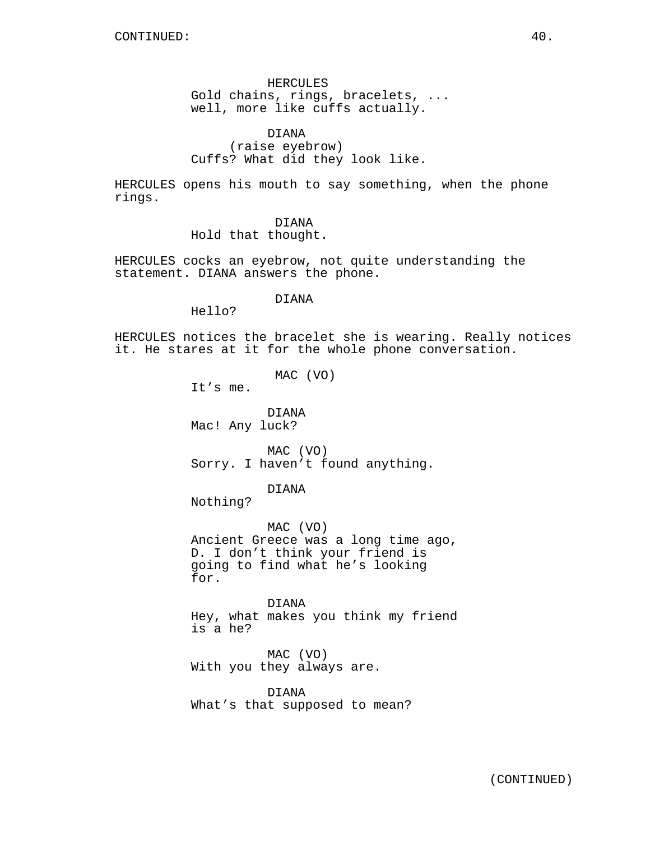HERCULES Gold chains, rings, bracelets, ... well, more like cuffs actually.

DIANA (raise eyebrow) Cuffs? What did they look like.

HERCULES opens his mouth to say something, when the phone rings.

DIANA

Hold that thought.

HERCULES cocks an eyebrow, not quite understanding the statement. DIANA answers the phone.

DIANA

Hello?

HERCULES notices the bracelet she is wearing. Really notices it. He stares at it for the whole phone conversation.

MAC (VO)

It's me.

DIANA Mac! Any luck?

MAC (VO) Sorry. I haven't found anything.

DIANA

Nothing?

MAC (VO) Ancient Greece was a long time ago, D. I don't think your friend is going to find what he's looking for.

DIANA Hey, what makes you think my friend is a he?

MAC (VO) With you they always are.

DIANA What's that supposed to mean?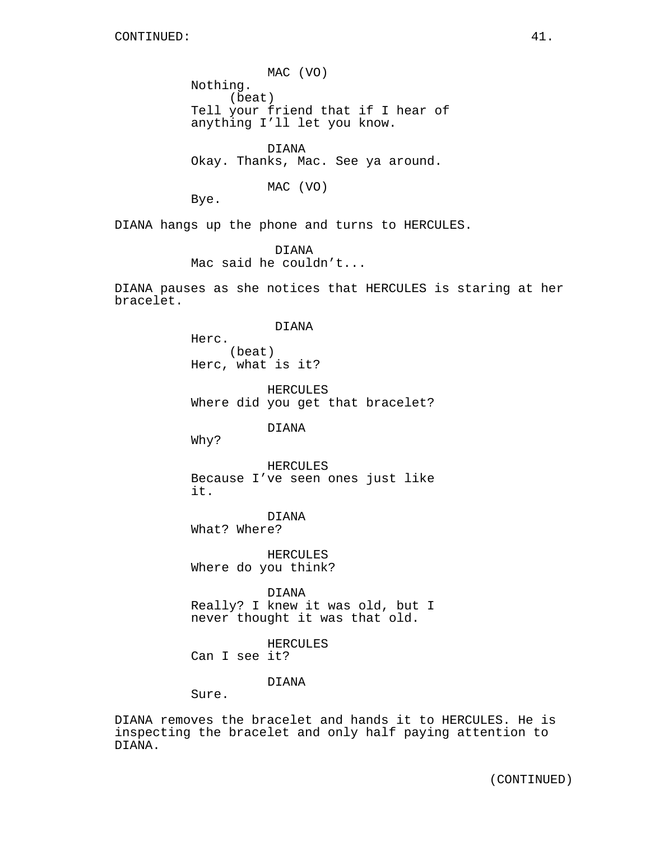MAC (VO) Nothing. (beat) Tell your friend that if I hear of anything I'll let you know.

DIANA Okay. Thanks, Mac. See ya around.

MAC (VO)

Bye.

DIANA hangs up the phone and turns to HERCULES.

DIANA Mac said he couldn't...

DIANA pauses as she notices that HERCULES is staring at her bracelet.

DIANA

Herc. (beat) Herc, what is it?

HERCULES Where did you get that bracelet?

DIANA

Why?

HERCULES Because I've seen ones just like it.

DIANA What? Where?

HERCULES Where do you think?

DIANA Really? I knew it was old, but I never thought it was that old.

HERCULES Can I see it?

DIANA

Sure.

DIANA removes the bracelet and hands it to HERCULES. He is inspecting the bracelet and only half paying attention to DIANA.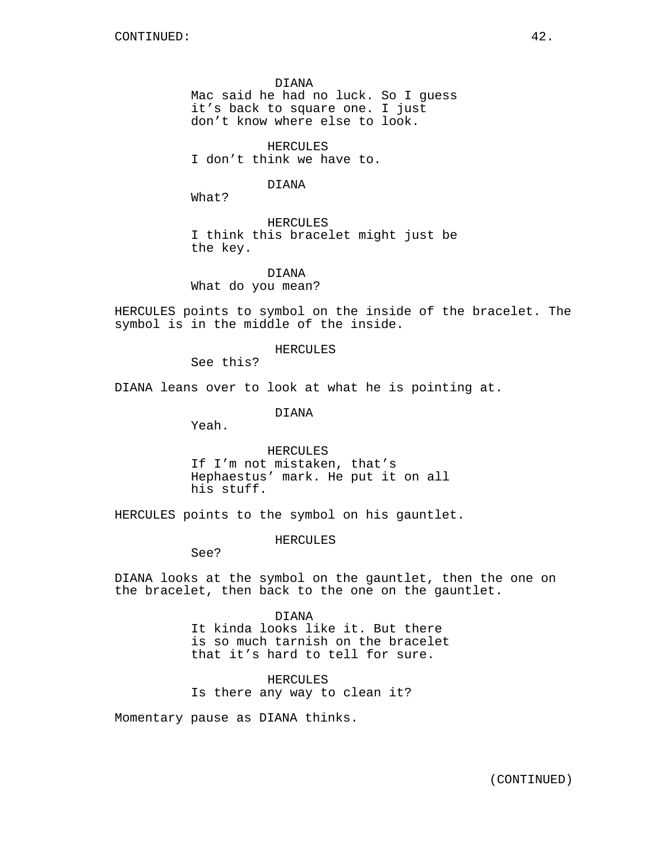DIANA Mac said he had no luck. So I guess it's back to square one. I just don't know where else to look.

HERCULES I don't think we have to.

DIANA

What?

HERCULES I think this bracelet might just be the key.

DIANA What do you mean?

HERCULES points to symbol on the inside of the bracelet. The symbol is in the middle of the inside.

#### HERCULES

See this?

DIANA leans over to look at what he is pointing at.

DIANA

Yeah.

HERCULES If I'm not mistaken, that's Hephaestus' mark. He put it on all his stuff.

HERCULES points to the symbol on his gauntlet.

#### HERCULES

See?

DIANA looks at the symbol on the gauntlet, then the one on the bracelet, then back to the one on the gauntlet.

> DIANA It kinda looks like it. But there is so much tarnish on the bracelet that it's hard to tell for sure.

HERCULES Is there any way to clean it?

Momentary pause as DIANA thinks.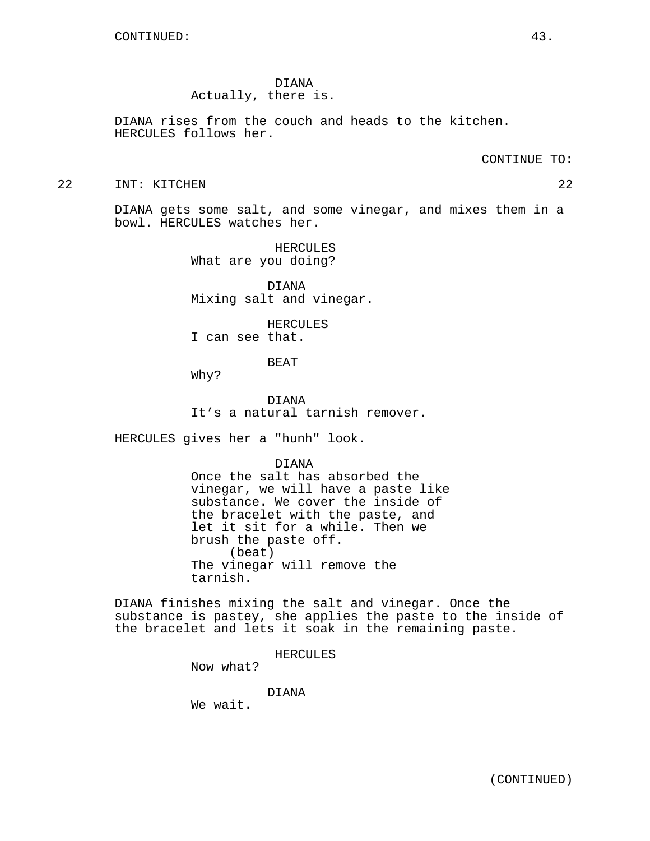DIANA Actually, there is.

DIANA rises from the couch and heads to the kitchen. HERCULES follows her.

CONTINUE TO:

#### 22 INT: KITCHEN 22

DIANA gets some salt, and some vinegar, and mixes them in a bowl. HERCULES watches her.

> HERCULES What are you doing?

DIANA Mixing salt and vinegar.

HERCULES I can see that.

BEAT

Why?

DIANA It's a natural tarnish remover.

HERCULES gives her a "hunh" look.

# DIANA

Once the salt has absorbed the vinegar, we will have a paste like substance. We cover the inside of the bracelet with the paste, and let it sit for a while. Then we brush the paste off. (beat) The vinegar will remove the tarnish.

DIANA finishes mixing the salt and vinegar. Once the substance is pastey, she applies the paste to the inside of the bracelet and lets it soak in the remaining paste.

HERCULES

Now what?

DIANA

We wait.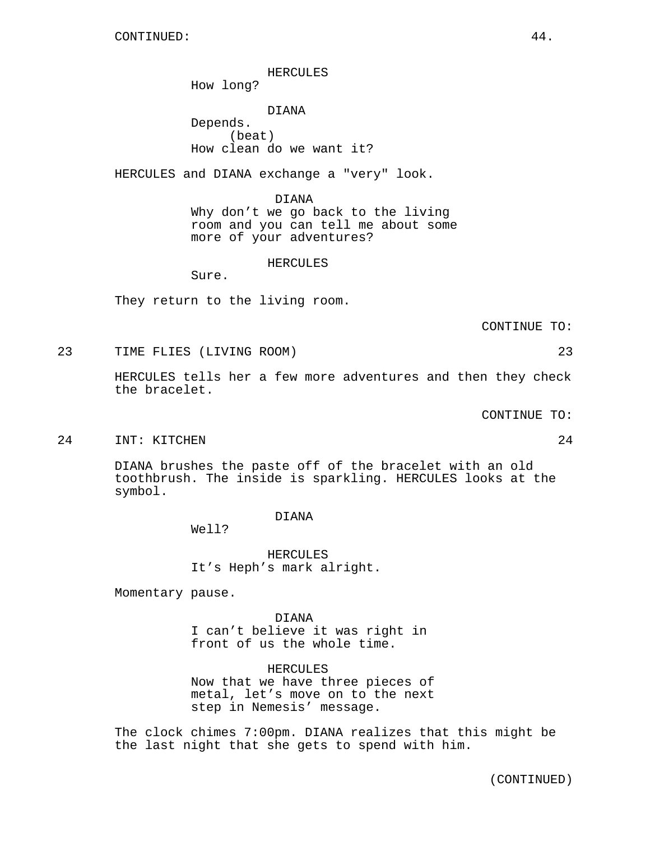HERCULES

How long?

DIANA Depends. (beat) How clean do we want it?

HERCULES and DIANA exchange a "very" look.

DIANA Why don't we go back to the living room and you can tell me about some more of your adventures?

HERCULES

Sure.

They return to the living room.

CONTINUE TO:

23 TIME FLIES (LIVING ROOM) 23

HERCULES tells her a few more adventures and then they check the bracelet.

CONTINUE TO:

#### 24 INT: KITCHEN 24

DIANA brushes the paste off of the bracelet with an old toothbrush. The inside is sparkling. HERCULES looks at the symbol.

DIANA

Well?

HERCULES It's Heph's mark alright.

Momentary pause.

DIANA I can't believe it was right in front of us the whole time.

HERCULES Now that we have three pieces of metal, let's move on to the next step in Nemesis' message.

The clock chimes 7:00pm. DIANA realizes that this might be the last night that she gets to spend with him.

(CONTINUED)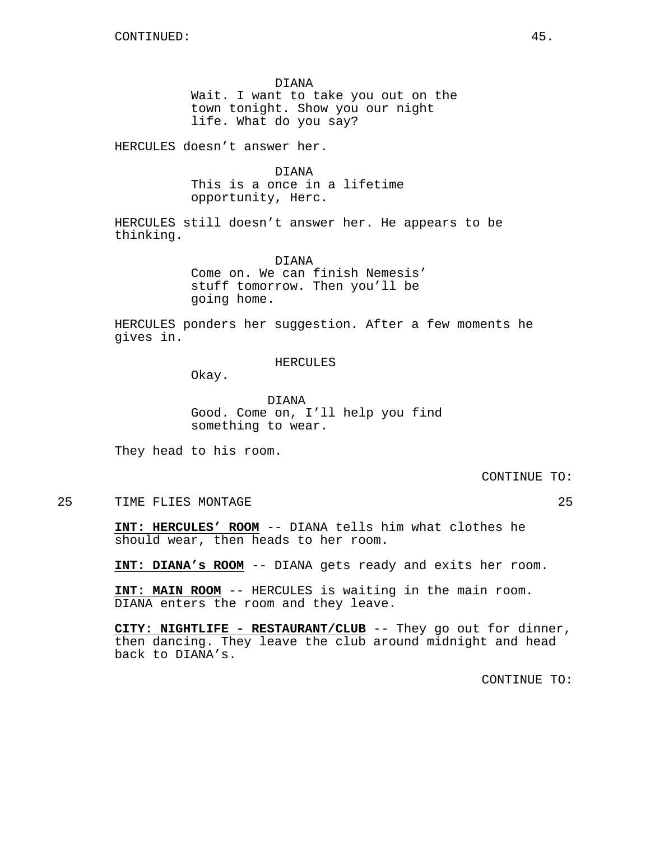DIANA Wait. I want to take you out on the town tonight. Show you our night life. What do you say?

HERCULES doesn't answer her.

DIANA This is a once in a lifetime opportunity, Herc.

HERCULES still doesn't answer her. He appears to be thinking.

> DIANA Come on. We can finish Nemesis' stuff tomorrow. Then you'll be going home.

HERCULES ponders her suggestion. After a few moments he gives in.

## HERCULES

Okay.

DIANA Good. Come on, I'll help you find something to wear.

They head to his room.

CONTINUE TO:

25 TIME FLIES MONTAGE 25

**INT: HERCULES' ROOM** -- DIANA tells him what clothes he should wear, then heads to her room.

**INT: DIANA's ROOM** -- DIANA gets ready and exits her room.

**INT: MAIN ROOM** -- HERCULES is waiting in the main room. DIANA enters the room and they leave.

**CITY: NIGHTLIFE - RESTAURANT/CLUB** -- They go out for dinner, then dancing. They leave the club around midnight and head back to DIANA's.

CONTINUE TO: